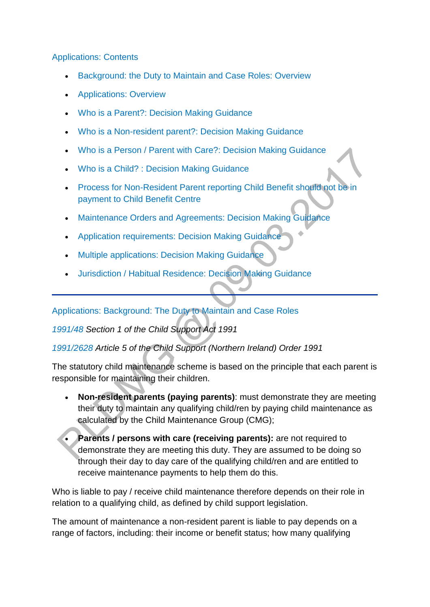#### [Applications: Contents](http://np-cmg-sharepoint.link2.gpn.gov.uk/sites/policy-law-and-decision-making-guidance/Pages/Applications/Applications.aspx)

- [Background: the Duty to Maintain and Case Roles: Overview](http://np-cmg-sharepoint.link2.gpn.gov.uk/sites/policy-law-and-decision-making-guidance/Pages/Applications/Applications.aspx#Overviewthedutytomaintain)
- [Applications: Overview](http://np-cmg-sharepoint.link2.gpn.gov.uk/sites/policy-law-and-decision-making-guidance/Pages/Applications/Applications.aspx#Applicationsoverview)
- [Who is a Parent?: Decision Making Guidance](http://np-cmg-sharepoint.link2.gpn.gov.uk/sites/policy-law-and-decision-making-guidance/Pages/Applications/Applications.aspx#dmgwhoisaparent)
- [Who is a Non-resident parent?: Decision Making Guidance](http://np-cmg-sharepoint.link2.gpn.gov.uk/sites/policy-law-and-decision-making-guidance/Pages/Applications/Applications.aspx#dmgnrp)
- [Who is a Person / Parent with Care?: Decision Making Guidance](http://np-cmg-sharepoint.link2.gpn.gov.uk/sites/policy-law-and-decision-making-guidance/Pages/Applications/Applications.aspx#dmgpwc)
- [Who is a Child? : Decision Making Guidance](http://np-cmg-sharepoint.link2.gpn.gov.uk/sites/policy-law-and-decision-making-guidance/Pages/Applications/Applications.aspx#dmgchild)
- [Process for Non-Resident Parent reporting Child Benefit should not be in](http://np-cmg-sharepoint.link2.gpn.gov.uk/sites/policy-law-and-decision-making-guidance/Pages/Applications/Applications.aspx#process)  [payment to Child Benefit Centre](http://np-cmg-sharepoint.link2.gpn.gov.uk/sites/policy-law-and-decision-making-guidance/Pages/Applications/Applications.aspx#process)
- [Maintenance Orders and Agreements: Decision Making Guidance](http://np-cmg-sharepoint.link2.gpn.gov.uk/sites/policy-law-and-decision-making-guidance/Pages/Applications/Applications.aspx#dmgmosandagreements)
- [Application requirements: Decision Making Guidance](http://np-cmg-sharepoint.link2.gpn.gov.uk/sites/policy-law-and-decision-making-guidance/Pages/Applications/Applications.aspx#dmgapplicationrequirements)
- [Multiple applications: Decision Making Guidance](http://np-cmg-sharepoint.link2.gpn.gov.uk/sites/policy-law-and-decision-making-guidance/Pages/Applications/Applications.aspx#dmgmultipleapplications)
- [Jurisdiction / Habitual Residence: Decision Making Guidance](http://np-cmg-sharepoint.link2.gpn.gov.uk/sites/policy-law-and-decision-making-guidance/Pages/Applications/Applications.aspx#dmgjurishabres)

#### [Applications: Background: The Duty to Maintain and Case Roles](http://np-cmg-sharepoint.link2.gpn.gov.uk/sites/policy-law-and-decision-making-guidance/Pages/Applications/Applications.aspx)

### *[1991/48 S](http://www.legislation.gov.uk/ukpga/1991/48)ection 1 of the Child Support Act 1991*

### *[1991/2628 A](http://www.legislation.gov.uk/nisi/1991/2628/contents)rticle 5 of the Child Support (Northern Ireland) Order 1991*

The statutory child maintenance scheme is based on the principle that each parent is responsible for maintaining their children.

- **Non-resident parents (paying parents)**: must demonstrate they are meeting their duty to maintain any qualifying child/ren by paying child maintenance as calculated by the Child Maintenance Group (CMG);
- **Parents / persons with care (receiving parents):** are not required to demonstrate they are meeting this duty. They are assumed to be doing so through their day to day care of the qualifying child/ren and are entitled to receive maintenance payments to help them do this.

Who is liable to pay / receive child maintenance therefore depends on their role in relation to a qualifying child, as defined by child support legislation.

The amount of maintenance a non-resident parent is liable to pay depends on a range of factors, including: their income or benefit status; how many qualifying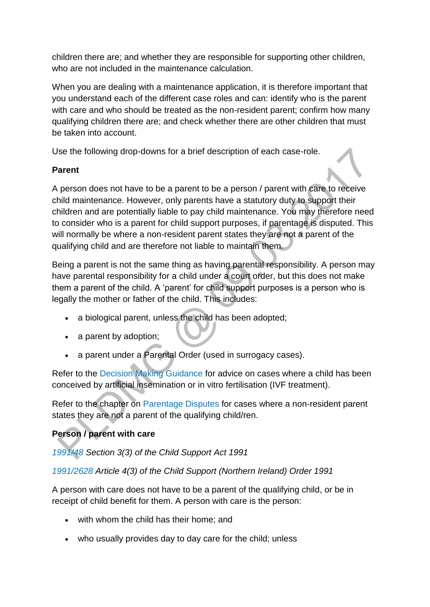children there are; and whether they are responsible for supporting other children, who are not included in the maintenance calculation.

When you are dealing with a maintenance application, it is therefore important that you understand each of the different case roles and can: identify who is the parent with care and who should be treated as the non-resident parent; confirm how many qualifying children there are; and check whether there are other children that must be taken into account.

Use the following drop-downs for a brief description of each case-role.

### **Parent**

A person does not have to be a parent to be a person / parent with care to receive child maintenance. However, only parents have a statutory duty to support their children and are potentially liable to pay child maintenance. You may therefore need to consider who is a parent for child support purposes, if parentage is disputed. This will normally be where a non-resident parent states they are not a parent of the qualifying child and are therefore not liable to maintain them.

Being a parent is not the same thing as having parental responsibility. A person may have parental responsibility for a child under a court order, but this does not make them a parent of the child. A 'parent' for child support purposes is a person who is legally the mother or father of the child. This includes:

- a biological parent, unless the child has been adopted;
- a parent by adoption;
- a parent under a Parental Order (used in surrogacy cases).

Refer to the [Decision Making Guidance](http://np-cmg-sharepoint.link2.gpn.gov.uk/sites/policy-law-and-decision-making-guidance/Pages/Applications/Applications.aspx#dmgwhoisaparent) for advice on cases where a child has been conceived by artificial insemination or in vitro fertilisation (IVF treatment).

Refer to the chapter on [Parentage Disputes](http://np-cmg-sharepoint.link2.gpn.gov.uk/sites/policy-law-and-decision-making-guidance/Pages/Parentage/Parentage-disputes.aspx) for cases where a non-resident parent states they are not a parent of the qualifying child/ren.

# **Person / parent with care**

*[1991/48 S](http://www.legislation.gov.uk/ukpga/1991/48)ection 3(3) of the Child Support Act 1991*

*[1991/2628 A](http://www.legislation.gov.uk/nisi/1991/2628/contents)rticle 4(3) of the Child Support (Northern Ireland) Order 1991*

A person with care does not have to be a parent of the qualifying child, or be in receipt of child benefit for them. A person with care is the person:

- with whom the child has their home; and
- who usually provides day to day care for the child; unless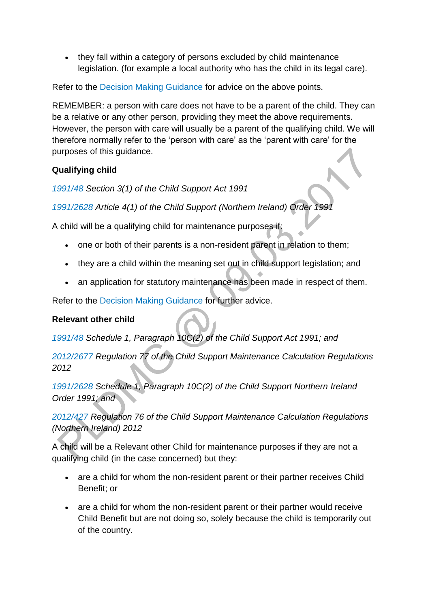• they fall within a category of persons excluded by child maintenance legislation. (for example a local authority who has the child in its legal care).

Refer to the [Decision Making Guidance](http://np-cmg-sharepoint.link2.gpn.gov.uk/sites/policy-law-and-decision-making-guidance/Pages/Applications/Applications.aspx#dmgpwc) for advice on the above points.

REMEMBER: a person with care does not have to be a parent of the child. They can be a relative or any other person, providing they meet the above requirements. However, the person with care will usually be a parent of the qualifying child. We will therefore normally refer to the 'person with care' as the 'parent with care' for the purposes of this guidance.

### **Qualifying child**

*[1991/48 S](http://www.legislation.gov.uk/ukpga/1991/48)ection 3(1) of the Child Support Act 1991*

*[1991/2628 A](http://www.legislation.gov.uk/nisi/1991/2628/contents)rticle 4(1) of the Child Support (Northern Ireland) Order 1991*

A child will be a qualifying child for maintenance purposes if:

- one or both of their parents is a non-resident parent in relation to them;
- they are a child within the meaning set out in child support legislation; and
- an application for statutory maintenance has been made in respect of them.

Refer to the [Decision Making Guidance](http://np-cmg-sharepoint.link2.gpn.gov.uk/sites/policy-law-and-decision-making-guidance/Pages/Applications/Applications.aspx#dmgchild) for further advice.

### **Relevant other child**

*[1991/48 S](http://www.legislation.gov.uk/ukpga/1991/48)chedule 1, Paragraph 10C(2) of the Child Support Act 1991; and*

*[2012/2677 R](http://www.legislation.gov.uk/uksi/2012/2677/pdfs/uksi_20122677_301114_en.pdf)egulation 77 of the Child Support Maintenance Calculation Regulations 2012*

*[1991/2628 S](http://www.legislation.gov.uk/nisi/1991/2628/schedule/1)chedule 1, Paragraph 10C(2) of the Child Support Northern Ireland Order 1991; and*

*[2012/427 R](http://www.legislation.gov.uk/nisr/2012/427/contents/made)egulation 76 of the Child Support Maintenance Calculation Regulations (Northern Ireland) 2012*

A child will be a Relevant other Child for maintenance purposes if they are not a qualifying child (in the case concerned) but they:

- are a child for whom the non-resident parent or their partner receives Child Benefit; or
- are a child for whom the non-resident parent or their partner would receive Child Benefit but are not doing so, solely because the child is temporarily out of the country.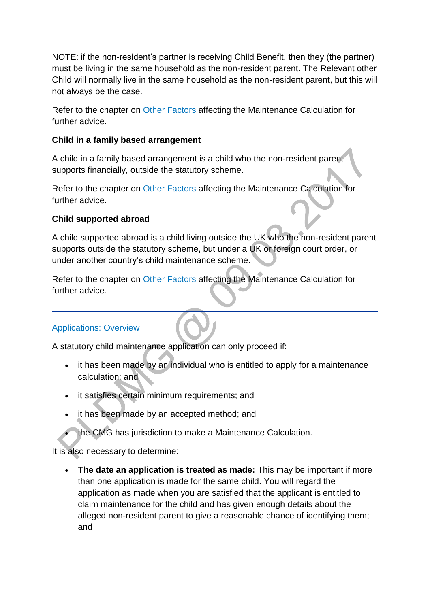NOTE: if the non-resident's partner is receiving Child Benefit, then they (the partner) must be living in the same household as the non-resident parent. The Relevant other Child will normally live in the same household as the non-resident parent, but this will not always be the case.

Refer to the chapter on [Other Factors](http://np-cmg-sharepoint.link2.gpn.gov.uk/sites/policy-law-and-decision-making-guidance/Pages/Calculations/Other-Factors-affecting-.aspx) affecting the Maintenance Calculation for further advice.

#### **Child in a family based arrangement**

A child in a family based arrangement is a child who the non-resident parent supports financially, outside the statutory scheme.

Refer to the chapter on [Other Factors](http://np-cmg-sharepoint.link2.gpn.gov.uk/sites/policy-law-and-decision-making-guidance/Pages/Calculations/Other-Factors-affecting-.aspx) affecting the Maintenance Calculation for further advice.

### **Child supported abroad**

A child supported abroad is a child living outside the UK who the non-resident parent supports outside the statutory scheme, but under a UK or foreign court order, or under another country's child maintenance scheme.

Refer to the chapter on [Other Factors](http://np-cmg-sharepoint.link2.gpn.gov.uk/sites/policy-law-and-decision-making-guidance/Pages/Calculations/Other-Factors-affecting-.aspx) affecting the Maintenance Calculation for further advice.

### [Applications: Overview](http://np-cmg-sharepoint.link2.gpn.gov.uk/sites/policy-law-and-decision-making-guidance/Pages/Applications/Applications.aspx)

A statutory child maintenance application can only proceed if:

- it has been made by an individual who is entitled to apply for a maintenance calculation; and
- it satisfies certain minimum requirements; and
- it has been made by an accepted method; and
- the CMG has jurisdiction to make a Maintenance Calculation.

It is also necessary to determine:

 **The date an application is treated as made:** This may be important if more than one application is made for the same child. You will regard the application as made when you are satisfied that the applicant is entitled to claim maintenance for the child and has given enough details about the alleged non-resident parent to give a reasonable chance of identifying them; and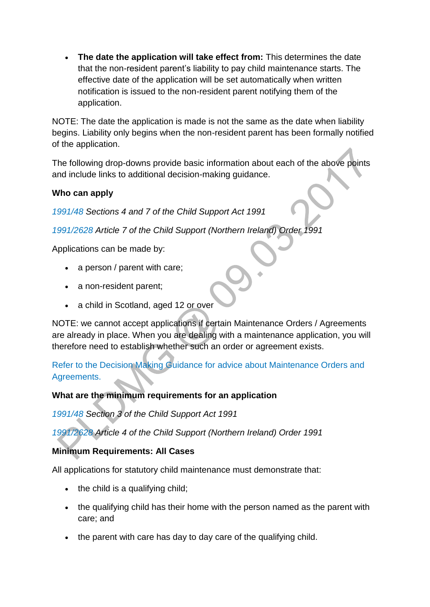**The date the application will take effect from:** This determines the date that the non-resident parent's liability to pay child maintenance starts. The effective date of the application will be set automatically when written notification is issued to the non-resident parent notifying them of the application.

NOTE: The date the application is made is not the same as the date when liability begins. Liability only begins when the non-resident parent has been formally notified of the application.

The following drop-downs provide basic information about each of the above points and include links to additional decision-making guidance.

#### **Who can apply**

*[1991/48 S](http://www.legislation.gov.uk/ukpga/1991/48)ections 4 and 7 of the Child Support Act 1991*

*[1991/2628](http://www.legislation.gov.uk/nisi/1991/2628/contents) Article 7 of the Child Support (Northern Ireland) Order 1991*

Applications can be made by:

- a person / parent with care;
- a non-resident parent;
- a child in Scotland, aged 12 or over

NOTE: we cannot accept applications if certain Maintenance Orders / Agreements are already in place. When you are dealing with a maintenance application, you will therefore need to establish whether such an order or agreement exists.

[Refer to the Decision Making Guidance for advice about Maintenance Orders and](http://np-cmg-sharepoint.link2.gpn.gov.uk/sites/policy-law-and-decision-making-guidance/Pages/Applications/Applications.aspx#dmgmosandagreements)  [Agreements.](http://np-cmg-sharepoint.link2.gpn.gov.uk/sites/policy-law-and-decision-making-guidance/Pages/Applications/Applications.aspx#dmgmosandagreements)

#### **What are the minimum requirements for an application**

*[1991/48 S](http://www.legislation.gov.uk/ukpga/1991/48)ection 3 of the Child Support Act 1991*

*[1991/2628 A](http://www.legislation.gov.uk/nisi/1991/2628/contents)rticle 4 of the Child Support (Northern Ireland) Order 1991*

### **Minimum Requirements: All Cases**

All applications for statutory child maintenance must demonstrate that:

- the child is a qualifying child;
- the qualifying child has their home with the person named as the parent with care; and
- the parent with care has day to day care of the qualifying child.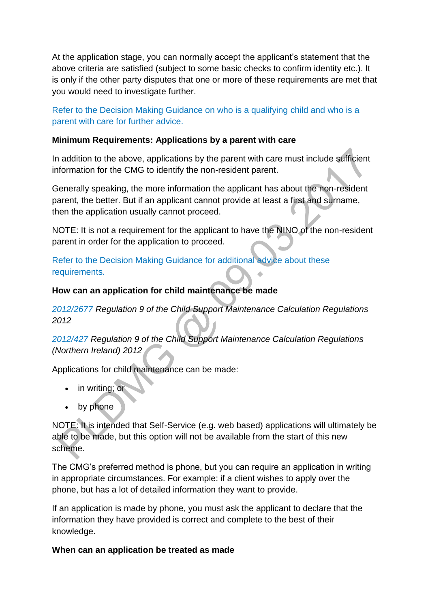At the application stage, you can normally accept the applicant's statement that the above criteria are satisfied (subject to some basic checks to confirm identity etc.). It is only if the other party disputes that one or more of these requirements are met that you would need to investigate further.

[Refer to the Decision Making Guidance on who is a qualifying](http://np-cmg-sharepoint.link2.gpn.gov.uk/sites/policy-law-and-decision-making-guidance/Pages/Applications/Applications.aspx#dmgapplicationrequirements) child and who is a [parent with care for further advice.](http://np-cmg-sharepoint.link2.gpn.gov.uk/sites/policy-law-and-decision-making-guidance/Pages/Applications/Applications.aspx#dmgapplicationrequirements)

#### **Minimum Requirements: Applications by a parent with care**

In addition to the above, applications by the parent with care must include sufficient information for the CMG to identify the non-resident parent.

Generally speaking, the more information the applicant has about the non-resident parent, the better. But if an applicant cannot provide at least a first and surname, then the application usually cannot proceed.

NOTE: It is not a requirement for the applicant to have the NINO of the non-resident parent in order for the application to proceed.

[Refer to the Decision Making Guidance for additional advice about these](http://np-cmg-sharepoint.link2.gpn.gov.uk/sites/policy-law-and-decision-making-guidance/Pages/Applications/Applications.aspx#dmgapplicationrequirements)  [requirements.](http://np-cmg-sharepoint.link2.gpn.gov.uk/sites/policy-law-and-decision-making-guidance/Pages/Applications/Applications.aspx#dmgapplicationrequirements)

#### **How can an application for child maintenance be made**

*[2012/2677 R](http://www.legislation.gov.uk/uksi/2012/2677/pdfs/uksi_20122677_301114_en.pdf)egulation 9 of the Child Support Maintenance Calculation Regulations 2012*

*[2012/427 R](http://www.legislation.gov.uk/nisr/2012/427/contents/made)egulation 9 of the Child Support Maintenance Calculation Regulations (Northern Ireland) 2012*

Applications for child maintenance can be made:

- in writing; or
- by phone

NOTE: It is intended that Self-Service (e.g. web based) applications will ultimately be able to be made, but this option will not be available from the start of this new scheme.

The CMG's preferred method is phone, but you can require an application in writing in appropriate circumstances. For example: if a client wishes to apply over the phone, but has a lot of detailed information they want to provide.

If an application is made by phone, you must ask the applicant to declare that the information they have provided is correct and complete to the best of their knowledge.

#### **When can an application be treated as made**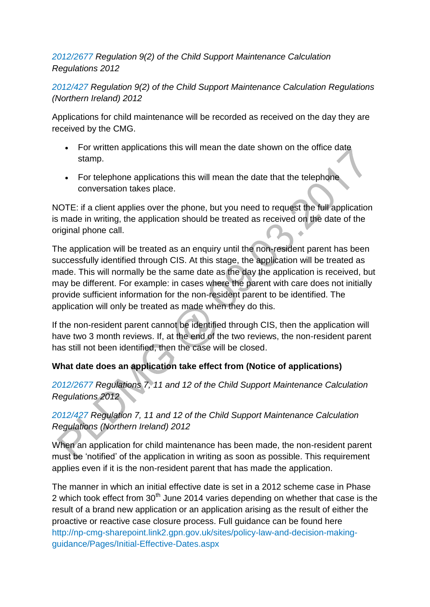### *[2012/2677 R](http://www.legislation.gov.uk/uksi/2012/2677/pdfs/uksi_20122677_301114_en.pdf)egulation 9(2) of the Child Support Maintenance Calculation Regulations 2012*

*[2012/427 R](http://www.legislation.gov.uk/nisr/2012/427/contents/made)egulation 9(2) of the Child Support Maintenance Calculation Regulations (Northern Ireland) 2012* 

Applications for child maintenance will be recorded as received on the day they are received by the CMG.

- For written applications this will mean the date shown on the office date stamp.
- For telephone applications this will mean the date that the telephone conversation takes place.

NOTE: if a client applies over the phone, but you need to request the full application is made in writing, the application should be treated as received on the date of the original phone call.

The application will be treated as an enquiry until the non-resident parent has been successfully identified through CIS. At this stage, the application will be treated as made. This will normally be the same date as the day the application is received, but may be different. For example: in cases where the parent with care does not initially provide sufficient information for the non-resident parent to be identified. The application will only be treated as made when they do this.

If the non-resident parent cannot be identified through CIS, then the application will have two 3 month reviews. If, at the end of the two reviews, the non-resident parent has still not been identified, then the case will be closed.

### **What date does an application take effect from (Notice of applications)**

*[2012/2677 R](http://www.legislation.gov.uk/uksi/2012/2677/pdfs/uksi_20122677_301114_en.pdf)egulations 7, 11 and 12 of the Child Support Maintenance Calculation Regulations 2012*

## *[2012/427 R](http://www.legislation.gov.uk/nisr/2012/427/contents/made)egulation 7, 11 and 12 of the Child Support Maintenance Calculation Regulations (Northern Ireland) 2012*

When an application for child maintenance has been made, the non-resident parent must be 'notified' of the application in writing as soon as possible. This requirement applies even if it is the non-resident parent that has made the application.

The manner in which an initial effective date is set in a 2012 scheme case in Phase 2 which took effect from  $30<sup>th</sup>$  June 2014 varies depending on whether that case is the result of a brand new application or an application arising as the result of either the proactive or reactive case closure process. Full guidance can be found here [http://np-cmg-sharepoint.link2.gpn.gov.uk/sites/policy-law-and-decision-making](http://np-cmg-sharepoint.link2.gpn.gov.uk/sites/policy-law-and-decision-making-guidance/Pages/Initial-Effective-Dates.aspx)[guidance/Pages/Initial-Effective-Dates.aspx](http://np-cmg-sharepoint.link2.gpn.gov.uk/sites/policy-law-and-decision-making-guidance/Pages/Initial-Effective-Dates.aspx)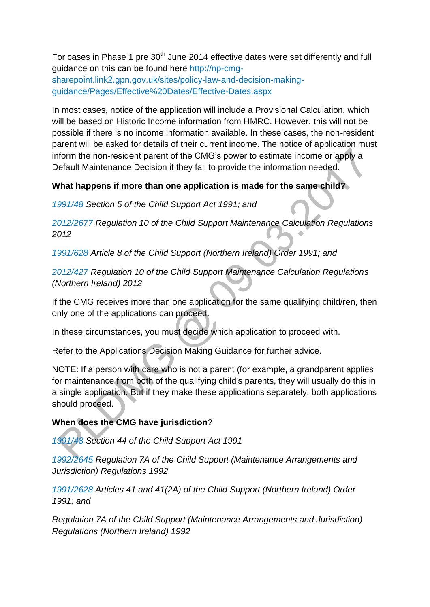For cases in Phase 1 pre  $30<sup>th</sup>$  June 2014 effective dates were set differently and full guidance on this can be found here [http://np-cmg](http://np-cmg-sharepoint.link2.gpn.gov.uk/sites/policy-law-and-decision-making-guidance/Pages/Effective%20Dates/Effective-Dates.aspx)[sharepoint.link2.gpn.gov.uk/sites/policy-law-and-decision-making](http://np-cmg-sharepoint.link2.gpn.gov.uk/sites/policy-law-and-decision-making-guidance/Pages/Effective%20Dates/Effective-Dates.aspx)[guidance/Pages/Effective%20Dates/Effective-Dates.aspx](http://np-cmg-sharepoint.link2.gpn.gov.uk/sites/policy-law-and-decision-making-guidance/Pages/Effective%20Dates/Effective-Dates.aspx)

In most cases, notice of the application will include a Provisional Calculation, which will be based on Historic Income information from HMRC. However, this will not be possible if there is no income information available. In these cases, the non-resident parent will be asked for details of their current income. The notice of application must inform the non-resident parent of the CMG's power to estimate income or apply a Default Maintenance Decision if they fail to provide the information needed.

### **What happens if more than one application is made for the same child?**

*[1991/48 S](http://www.legislation.gov.uk/ukpga/1991/48)ection 5 of the Child Support Act 1991; and*

*[2012/2677 R](http://www.legislation.gov.uk/uksi/2012/2677/pdfs/uksi_20122677_301114_en.pdf)egulation 10 of the Child Support Maintenance Calculation Regulations 2012*

*[1991/628 A](http://www.legislation.gov.uk/nisi/1991/2628/contents)rticle 8 of the Child Support (Northern Ireland) Order 1991; and*

*[2012/427](http://www.legislation.gov.uk/nisr/2012/427/contents/made) Regulation 10 of the Child Support Maintenance Calculation Regulations (Northern Ireland) 2012* 

If the CMG receives more than one application for the same qualifying child/ren, then only one of the applications can proceed.

In these circumstances, you must decide which application to proceed with.

Refer to the Applications Decision Making Guidance for further advice.

NOTE: If a person with care who is not a parent (for example, a grandparent applies for maintenance from both of the qualifying child's parents, they will usually do this in a single application. But if they make these applications separately, both applications should proceed.

#### **When does the CMG have jurisdiction?**

*[1991/48 S](http://www.legislation.gov.uk/ukpga/1991/48)ection 44 of the Child Support Act 1991*

*[1992/2645 R](http://www.legislation.gov.uk/uksi/1992/2645)egulation 7A of the Child Support (Maintenance Arrangements and Jurisdiction) Regulations 1992*

*[1991/2628 A](http://www.legislation.gov.uk/nisi/1991/2628/contents)rticles 41 and 41(2A) of the Child Support (Northern Ireland) Order 1991; and* 

*Regulation 7A of the Child Support (Maintenance Arrangements and Jurisdiction) Regulations (Northern Ireland) 1992*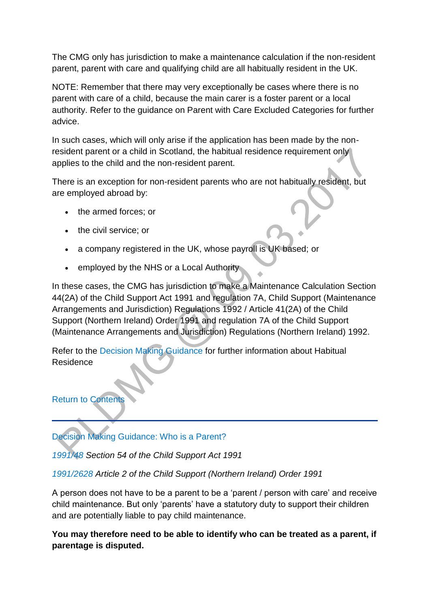The CMG only has jurisdiction to make a maintenance calculation if the non-resident parent, parent with care and qualifying child are all habitually resident in the UK.

NOTE: Remember that there may very exceptionally be cases where there is no parent with care of a child, because the main carer is a foster parent or a local authority. Refer to the guidance on Parent with Care Excluded Categories for further advice.

In such cases, which will only arise if the application has been made by the nonresident parent or a child in Scotland, the habitual residence requirement only applies to the child and the non-resident parent.

There is an exception for non-resident parents who are not habitually resident, but are employed abroad by:

- the armed forces; or
- the civil service; or
- a company registered in the UK, whose payroll is UK based; or
- employed by the NHS or a Local Authority

In these cases, the CMG has jurisdiction to make a Maintenance Calculation Section 44(2A) of the Child Support Act 1991 and regulation 7A, Child Support (Maintenance Arrangements and Jurisdiction) Regulations 1992 / Article 41(2A) of the Child Support (Northern Ireland) Order 1991 and regulation 7A of the Child Support (Maintenance Arrangements and Jurisdiction) Regulations (Northern Ireland) 1992.

Refer to the [Decision Making Guidance](http://np-cmg-sharepoint.link2.gpn.gov.uk/sites/policy-law-and-decision-making-guidance/Pages/Applications/Applications.aspx#dmgjurishabres) for further information about Habitual Residence

### [Return to Contents](http://np-cmg-sharepoint.link2.gpn.gov.uk/sites/policy-law-and-decision-making-guidance/Pages/Applications/Applications.aspx#DMGcontents)

[Decision Making Guidance: Who is a Parent?](http://np-cmg-sharepoint.link2.gpn.gov.uk/sites/policy-law-and-decision-making-guidance/Pages/Applications/Applications.aspx)

*[1991/48 S](http://www.legislation.gov.uk/ukpga/1991/48)ection 54 of the Child Support Act 1991*

#### *[1991/2628 A](http://www.legislation.gov.uk/nisi/1991/2628/contents)rticle 2 of the Child Support (Northern Ireland) Order 1991*

A person does not have to be a parent to be a 'parent / person with care' and receive child maintenance. But only 'parents' have a statutory duty to support their children and are potentially liable to pay child maintenance.

**You may therefore need to be able to identify who can be treated as a parent, if parentage is disputed.**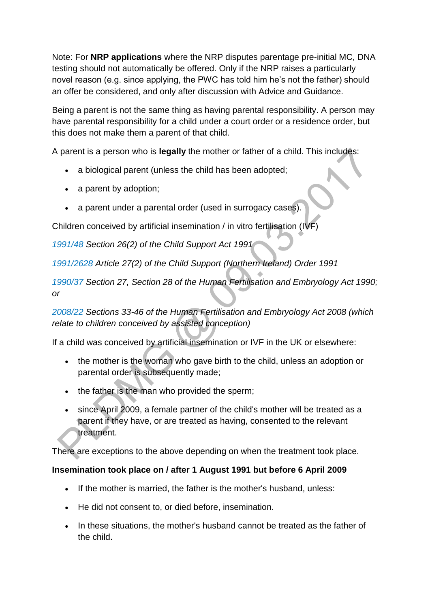Note: For **NRP applications** where the NRP disputes parentage pre-initial MC, DNA testing should not automatically be offered. Only if the NRP raises a particularly novel reason (e.g. since applying, the PWC has told him he's not the father) should an offer be considered, and only after discussion with Advice and Guidance.

Being a parent is not the same thing as having parental responsibility. A person may have parental responsibility for a child under a court order or a residence order, but this does not make them a parent of that child.

A parent is a person who is **legally** the mother or father of a child. This includes:

- a biological parent (unless the child has been adopted;
- a parent by adoption;
- a parent under a parental order (used in surrogacy cases).

Children conceived by artificial insemination / in vitro fertilisation (IVF)

*[1991/48 S](http://www.legislation.gov.uk/ukpga/1991/48)ection 26(2) of the Child Support Act 1991*

*[1991/2628 A](http://www.legislation.gov.uk/nisi/1991/2628/contents)rticle 27(2) of the Child Support (Northern Ireland) Order 1991* 

*[1990/37 S](http://www.legislation.gov.uk/ukpga/1990/37/contents)ection 27[,](http://www.legislation.gov.uk/ukpga/1990/37/section/28) Section 28 of the Human Fertilisation and Embryology Act 1990; or*

*[2008/22](http://www.legislation.gov.uk/ukpga/2008/22/contents) Sections 33-46 of the Human Fertilisation and Embryology Act 2008 (which relate to children conceived by assisted conception)*

If a child was conceived by artificial insemination or IVF in the UK or elsewhere:

- the mother is the woman who gave birth to the child, unless an adoption or parental order is subsequently made;
- the father is the man who provided the sperm;
- since April 2009, a female partner of the child's mother will be treated as a parent if they have, or are treated as having, consented to the relevant treatment.

There are exceptions to the above depending on when the treatment took place.

#### **Insemination took place on / after 1 August 1991 but before 6 April 2009**

- If the mother is married, the father is the mother's husband, unless:
- He did not consent to, or died before, insemination.
- In these situations, the mother's husband cannot be treated as the father of the child.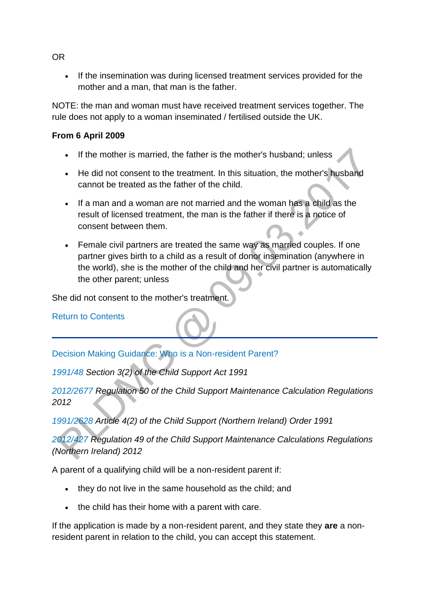• If the insemination was during licensed treatment services provided for the mother and a man, that man is the father.

NOTE: the man and woman must have received treatment services together. The rule does not apply to a woman inseminated / fertilised outside the UK.

#### **From 6 April 2009**

- If the mother is married, the father is the mother's husband; unless
- He did not consent to the treatment. In this situation, the mother's husband cannot be treated as the father of the child.
- If a man and a woman are not married and the woman has a child as the result of licensed treatment, the man is the father if there is a notice of consent between them.
- Female civil partners are treated the same way as married couples. If one partner gives birth to a child as a result of donor insemination (anywhere in the world), she is the mother of the child and her civil partner is automatically the other parent; unless

She did not consent to the mother's treatment.

[Return to Contents](http://np-cmg-sharepoint.link2.gpn.gov.uk/sites/policy-law-and-decision-making-guidance/Pages/Applications/Applications.aspx#DMGcontents)

[Decision Making Guidance: Who is a Non-resident Parent?](http://np-cmg-sharepoint.link2.gpn.gov.uk/sites/policy-law-and-decision-making-guidance/Pages/Applications/Applications.aspx)

*[1991/48 S](http://www.legislation.gov.uk/ukpga/1991/48)ection 3(2) of the Child Support Act 1991*

*[2012/2677 R](http://www.legislation.gov.uk/uksi/2012/2677/pdfs/uksi_20122677_301114_en.pdf)egulation 50 of the Child Support Maintenance Calculation Regulations 2012*

*[1991/2628 A](http://www.legislation.gov.uk/nisi/1991/2628/contents)rticle 4(2) of the Child Support (Northern Ireland) Order 1991*

*[2012/427 R](http://www.legislation.gov.uk/nisr/2012/427/contents/made)egulation 49 of the Child Support Maintenance Calculations Regulations (Northern Ireland) 2012*

A parent of a qualifying child will be a non-resident parent if:

- they do not live in the same household as the child; and
- the child has their home with a parent with care.

If the application is made by a non-resident parent, and they state they **are** a nonresident parent in relation to the child, you can accept this statement.

OR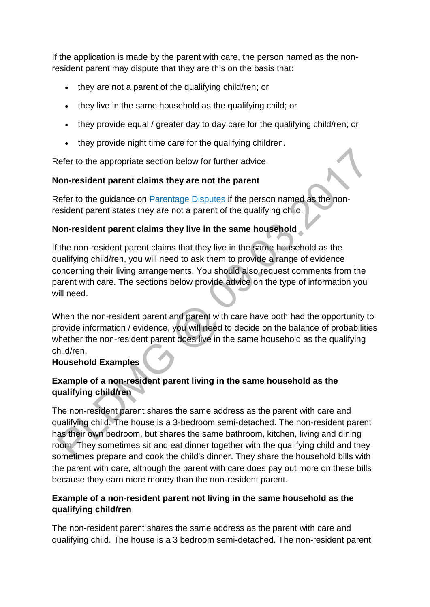If the application is made by the parent with care, the person named as the nonresident parent may dispute that they are this on the basis that:

- they are not a parent of the qualifying child/ren; or
- they live in the same household as the qualifying child; or
- they provide equal / greater day to day care for the qualifying child/ren; or
- they provide night time care for the qualifying children.

Refer to the appropriate section below for further advice.

#### **Non-resident parent claims they are not the parent**

Refer to the guidance on [Parentage Disputes](http://np-cmg-sharepoint.link2.gpn.gov.uk/sites/policy-law-and-decision-making-guidance/Pages/Parentage/Parentage-disputes.aspx) if the person named as the nonresident parent states they are not a parent of the qualifying child.

### **Non-resident parent claims they live in the same household**

If the non-resident parent claims that they live in the same household as the qualifying child/ren, you will need to ask them to provide a range of evidence concerning their living arrangements. You should also request comments from the parent with care. The sections below provide advice on the type of information you will need.

When the non-resident parent and parent with care have both had the opportunity to provide information / evidence, you will need to decide on the balance of probabilities whether the non-resident parent does live in the same household as the qualifying child/ren.

#### **Household Examples**

### **Example of a non-resident parent living in the same household as the qualifying child/ren**

The non-resident parent shares the same address as the parent with care and qualifying child. The house is a 3-bedroom semi-detached. The non-resident parent has their own bedroom, but shares the same bathroom, kitchen, living and dining room. They sometimes sit and eat dinner together with the qualifying child and they sometimes prepare and cook the child's dinner. They share the household bills with the parent with care, although the parent with care does pay out more on these bills because they earn more money than the non-resident parent.

### **Example of a non-resident parent not living in the same household as the qualifying child/ren**

The non-resident parent shares the same address as the parent with care and qualifying child. The house is a 3 bedroom semi-detached. The non-resident parent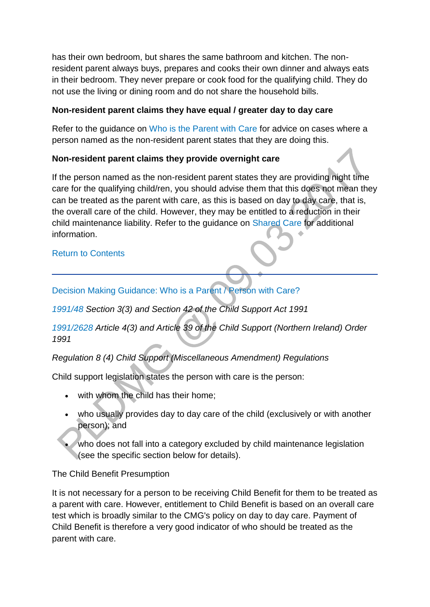has their own bedroom, but shares the same bathroom and kitchen. The nonresident parent always buys, prepares and cooks their own dinner and always eats in their bedroom. They never prepare or cook food for the qualifying child. They do not use the living or dining room and do not share the household bills.

#### **Non-resident parent claims they have equal / greater day to day care**

Refer to the guidance on [Who is the Parent with Care](http://np-cmg-sharepoint.link2.gpn.gov.uk/sites/policy-law-and-decision-making-guidance/Pages/Applications/Applications.aspx#dmgpwc) for advice on cases where a person named as the non-resident parent states that they are doing this.

### **Non-resident parent claims they provide overnight care**

If the person named as the non-resident parent states they are providing night time care for the qualifying child/ren, you should advise them that this does not mean they can be treated as the parent with care, as this is based on day to day care, that is, the overall care of the child. However, they may be entitled to a reduction in their child maintenance liability. Refer to the guidance on [Shared Care](http://np-cmg-sharepoint.link2.gpn.gov.uk/sites/policy-law-and-decision-making-guidance/Pages/Calculations/Other%20Factors/Shared-Care.aspx) for additional information.

#### [Return to Contents](http://np-cmg-sharepoint.link2.gpn.gov.uk/sites/policy-law-and-decision-making-guidance/Pages/Applications/Applications.aspx#DMGcontents)

[Decision Making Guidance: Who is a Parent / Person with Care?](http://np-cmg-sharepoint.link2.gpn.gov.uk/sites/policy-law-and-decision-making-guidance/Pages/Applications/Applications.aspx)

*[1991/48 S](http://www.legislation.gov.uk/ukpga/1991/48)ection 3(3) and Section 42 of the Child Support Act 1991*

*[1991/2628 A](http://www.legislation.gov.uk/nisi/1991/2628/contents)rticle 4(3) and Article 39 of the Child Support (Northern Ireland) Order 1991* 

*Regulation 8 (4) Child Support (Miscellaneous Amendment) Regulations*

Child support legislation states the person with care is the person:

- with whom the child has their home;
- who usually provides day to day care of the child (exclusively or with another person); and
- who does not fall into a category excluded by child maintenance legislation (see the specific section below for details).

The Child Benefit Presumption

It is not necessary for a person to be receiving Child Benefit for them to be treated as a parent with care. However, entitlement to Child Benefit is based on an overall care test which is broadly similar to the CMG's policy on day to day care. Payment of Child Benefit is therefore a very good indicator of who should be treated as the parent with care.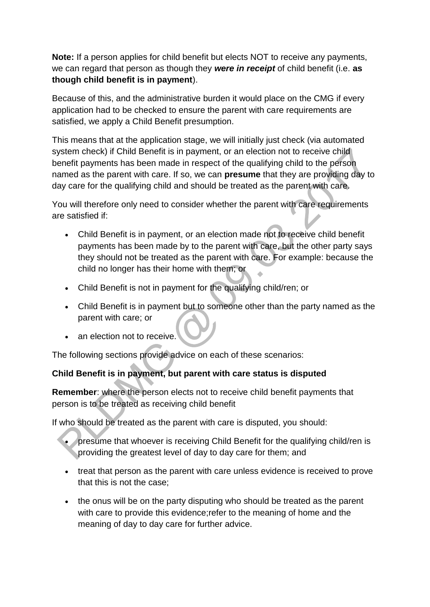**Note:** If a person applies for child benefit but elects NOT to receive any payments, we can regard that person as though they *were in receipt* of child benefit (i.e. **as though child benefit is in payment**).

Because of this, and the administrative burden it would place on the CMG if every application had to be checked to ensure the parent with care requirements are satisfied, we apply a Child Benefit presumption.

This means that at the application stage, we will initially just check (via automated system check) if Child Benefit is in payment, or an election not to receive child benefit payments has been made in respect of the qualifying child to the person named as the parent with care. If so, we can **presume** that they are providing day to day care for the qualifying child and should be treated as the parent with care.

You will therefore only need to consider whether the parent with care requirements are satisfied if:

- Child Benefit is in payment, or an election made not to receive child benefit payments has been made by to the parent with care, but the other party says they should not be treated as the parent with care. For example: because the child no longer has their home with them; or
- Child Benefit is not in payment for the qualifying child/ren; or
- Child Benefit is in payment but to someone other than the party named as the parent with care; or
- an election not to receive.

The following sections provide advice on each of these scenarios:

#### **Child Benefit is in payment, but parent with care status is disputed**

**Remember**: where the person elects not to receive child benefit payments that person is to be treated as receiving child benefit

If who should be treated as the parent with care is disputed, you should:

- presume that whoever is receiving Child Benefit for the qualifying child/ren is providing the greatest level of day to day care for them; and
- treat that person as the parent with care unless evidence is received to prove that this is not the case;
- the onus will be on the party disputing who should be treated as the parent with care to provide this evidence;refer to the meaning of home and the meaning of day to day care for further advice.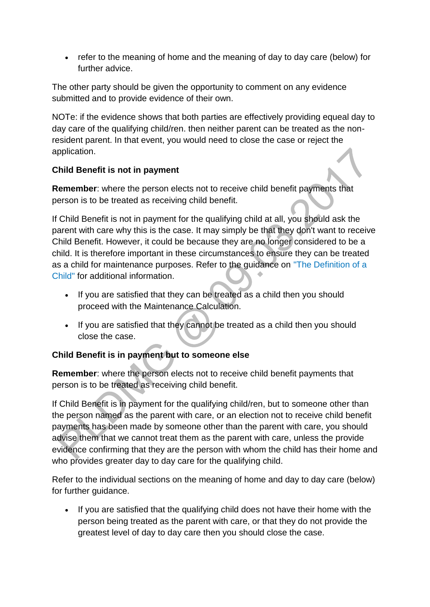• refer to the meaning of home and the meaning of day to day care (below) for further advice.

The other party should be given the opportunity to comment on any evidence submitted and to provide evidence of their own.

NOTe: if the evidence shows that both parties are effectively providing equeal day to day care of the qualifying child/ren. then neither parent can be treated as the nonresident parent. In that event, you would need to close the case or reject the application.

### **Child Benefit is not in payment**

**Remember**: where the person elects not to receive child benefit payments that person is to be treated as receiving child benefit.

If Child Benefit is not in payment for the qualifying child at all, you should ask the parent with care why this is the case. It may simply be that they don't want to receive Child Benefit. However, it could be because they are no longer considered to be a child. It is therefore important in these circumstances to ensure they can be treated as a child for maintenance purposes. Refer to the guidance on ["The Definition of a](http://np-cmg-sharepoint.link2.gpn.gov.uk/sites/policy-law-and-decision-making-guidance/Pages/Applications/Applications.aspx#childdefinition)  [Child" f](http://np-cmg-sharepoint.link2.gpn.gov.uk/sites/policy-law-and-decision-making-guidance/Pages/Applications/Applications.aspx#childdefinition)or additional information.

- If you are satisfied that they can be treated as a child then you should proceed with the Maintenance Calculation.
- If you are satisfied that they cannot be treated as a child then you should close the case.

### **Child Benefit is in payment but to someone else**

**Remember**: where the person elects not to receive child benefit payments that person is to be treated as receiving child benefit.

If Child Benefit is in payment for the qualifying child/ren, but to someone other than the person named as the parent with care, or an election not to receive child benefit payments has been made by someone other than the parent with care, you should advise them that we cannot treat them as the parent with care, unless the provide evidence confirming that they are the person with whom the child has their home and who provides greater day to day care for the qualifying child.

Refer to the individual sections on the meaning of home and day to day care (below) for further guidance.

 If you are satisfied that the qualifying child does not have their home with the person being treated as the parent with care, or that they do not provide the greatest level of day to day care then you should close the case.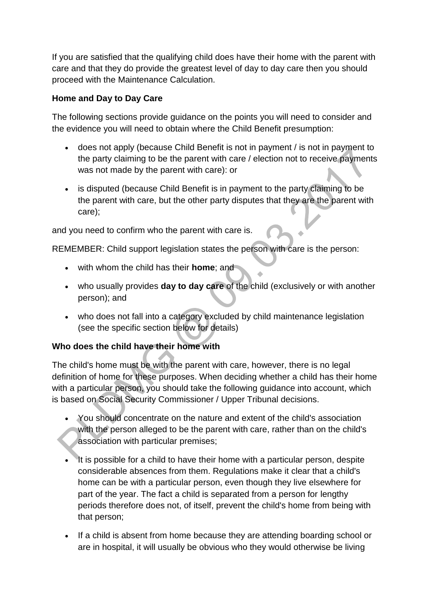If you are satisfied that the qualifying child does have their home with the parent with care and that they do provide the greatest level of day to day care then you should proceed with the Maintenance Calculation.

### **Home and Day to Day Care**

The following sections provide guidance on the points you will need to consider and the evidence you will need to obtain where the Child Benefit presumption:

- does not apply (because Child Benefit is not in payment / is not in payment to the party claiming to be the parent with care / election not to receive payments was not made by the parent with care): or
- is disputed (because Child Benefit is in payment to the party claiming to be the parent with care, but the other party disputes that they are the parent with care);

and you need to confirm who the parent with care is.

REMEMBER: Child support legislation states the person with care is the person:

- with whom the child has their **home**; and
- who usually provides **day to day care** of the child (exclusively or with another person); and
- who does not fall into a category excluded by child maintenance legislation (see the specific section below for details)

### **Who does the child have their home with**

The child's home must be with the parent with care, however, there is no legal definition of home for these purposes. When deciding whether a child has their home with a particular person, you should take the following guidance into account, which is based on Social Security Commissioner / Upper Tribunal decisions.

- You should concentrate on the nature and extent of the child's association with the person alleged to be the parent with care, rather than on the child's association with particular premises;
- It is possible for a child to have their home with a particular person, despite considerable absences from them. Regulations make it clear that a child's home can be with a particular person, even though they live elsewhere for part of the year. The fact a child is separated from a person for lengthy periods therefore does not, of itself, prevent the child's home from being with that person;
- If a child is absent from home because they are attending boarding school or are in hospital, it will usually be obvious who they would otherwise be living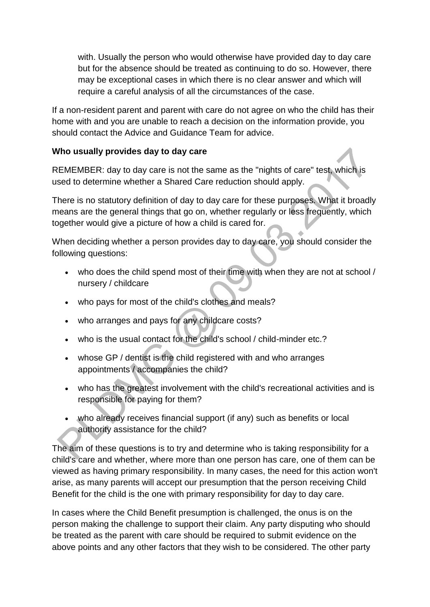with. Usually the person who would otherwise have provided day to day care but for the absence should be treated as continuing to do so. However, there may be exceptional cases in which there is no clear answer and which will require a careful analysis of all the circumstances of the case.

If a non-resident parent and parent with care do not agree on who the child has their home with and you are unable to reach a decision on the information provide, you should contact the Advice and Guidance Team for advice.

#### **Who usually provides day to day care**

REMEMBER: day to day care is not the same as the "nights of care" test, which is used to determine whether a Shared Care reduction should apply.

There is no statutory definition of day to day care for these purposes. What it broadly means are the general things that go on, whether regularly or less frequently, which together would give a picture of how a child is cared for.

When deciding whether a person provides day to day care, you should consider the following questions:

- who does the child spend most of their time with when they are not at school / nursery / childcare
- who pays for most of the child's clothes and meals?
- who arranges and pays for any childcare costs?
- who is the usual contact for the child's school / child-minder etc.?
- whose GP / dentist is the child registered with and who arranges appointments / accompanies the child?
- who has the greatest involvement with the child's recreational activities and is responsible for paying for them?
- who already receives financial support (if any) such as benefits or local authority assistance for the child?

The aim of these questions is to try and determine who is taking responsibility for a child's care and whether, where more than one person has care, one of them can be viewed as having primary responsibility. In many cases, the need for this action won't arise, as many parents will accept our presumption that the person receiving Child Benefit for the child is the one with primary responsibility for day to day care.

In cases where the Child Benefit presumption is challenged, the onus is on the person making the challenge to support their claim. Any party disputing who should be treated as the parent with care should be required to submit evidence on the above points and any other factors that they wish to be considered. The other party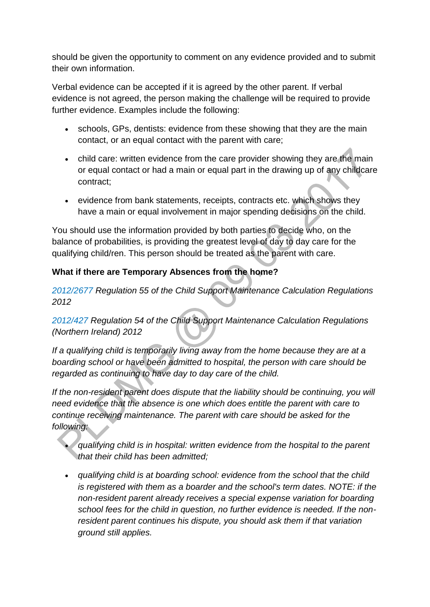should be given the opportunity to comment on any evidence provided and to submit their own information.

Verbal evidence can be accepted if it is agreed by the other parent. If verbal evidence is not agreed, the person making the challenge will be required to provide further evidence. Examples include the following:

- schools, GPs, dentists: evidence from these showing that they are the main contact, or an equal contact with the parent with care;
- child care: written evidence from the care provider showing they are the main or equal contact or had a main or equal part in the drawing up of any childcare contract;
- evidence from bank statements, receipts, contracts etc. which shows they have a main or equal involvement in major spending decisions on the child.

You should use the information provided by both parties to decide who, on the balance of probabilities, is providing the greatest level of day to day care for the qualifying child/ren. This person should be treated as the parent with care.

### **What if there are Temporary Absences from the home?**

*[2012/2677 R](http://www.legislation.gov.uk/uksi/2012/2677/pdfs/uksi_20122677_301114_en.pdf)egulation 55 of the Child Support Maintenance Calculation Regulations 2012*

### *[2012/427 R](http://www.legislation.gov.uk/nisr/2012/427/contents/made)egulation 54 of the Child Support Maintenance Calculation Regulations (Northern Ireland) 2012*

*If a qualifying child is temporarily living away from the home because they are at a boarding school or have been admitted to hospital, the person with care should be regarded as continuing to have day to day care of the child.*

*If the non-resident parent does dispute that the liability should be continuing, you will need evidence that the absence is one which does entitle the parent with care to continue receiving maintenance. The parent with care should be asked for the following:*

- *qualifying child is in hospital: written evidence from the hospital to the parent that their child has been admitted;*
- *qualifying child is at boarding school: evidence from the school that the child is registered with them as a boarder and the school's term dates. NOTE: if the non-resident parent already receives a special expense variation for boarding school fees for the child in question, no further evidence is needed. If the nonresident parent continues his dispute, you should ask them if that variation ground still applies.*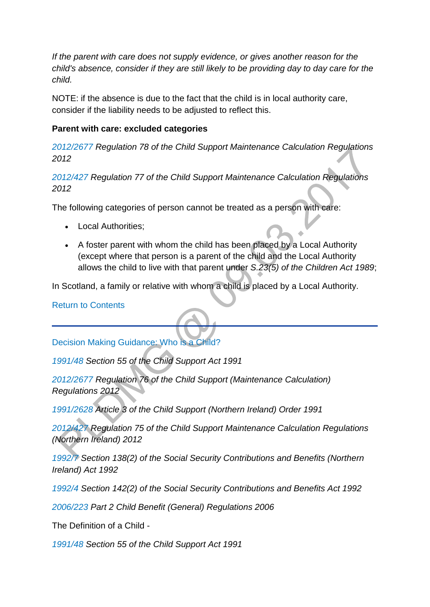*If the parent with care does not supply evidence, or gives another reason for the child's absence, consider if they are still likely to be providing day to day care for the child.* 

NOTE: if the absence is due to the fact that the child is in local authority care, consider if the liability needs to be adjusted to reflect this.

#### **Parent with care: excluded categories**

*[2012/2677 R](http://www.legislation.gov.uk/uksi/2012/2677/pdfs/uksi_20122677_301114_en.pdf)egulation 78 of the Child Support Maintenance Calculation Regulations 2012* 

*[2012/427 R](http://www.legislation.gov.uk/nisr/2012/427/contents/made)egulation 77 of the Child Support Maintenance Calculation Regulations 2012*

The following categories of person cannot be treated as a person with care:

- Local Authorities:
- A foster parent with whom the child has been placed by a Local Authority (except where that person is a parent of the child and the Local Authority allows the child to live with that parent under *S.23(5) of the Children Act 1989*;

In Scotland, a family or relative with whom a child is placed by a Local Authority.

[Return to Contents](http://np-cmg-sharepoint.link2.gpn.gov.uk/sites/policy-law-and-decision-making-guidance/Pages/Applications/Applications.aspx#DMGcontents)

[Decision Making Guidance: Who is a Child?](http://np-cmg-sharepoint.link2.gpn.gov.uk/sites/policy-law-and-decision-making-guidance/Pages/Applications/Applications.aspx)

*[1991/48 S](http://www.legislation.gov.uk/ukpga/1991/48)ection 55 of the Child Support Act 1991*

*[2012/2677 R](http://www.legislation.gov.uk/uksi/2012/2677/pdfs/uksi_20122677_301114_en.pdf)egulation 76 of the Child Support (Maintenance Calculation) Regulations 2012*

*[1991/2628 A](http://www.legislation.gov.uk/nisi/1991/2628/contents)rticle 3 of the Child Support (Northern Ireland) Order 1991*

*[2012/427 R](http://www.legislation.gov.uk/nisr/2012/427/contents/made)egulation 75 of the Child Support Maintenance Calculation Regulations (Northern Ireland) 2012*

*[1992/7](http://www.legislation.gov.uk/ukpga/1992/7/contents) Section 138(2) of the Social Security Contributions and Benefits (Northern Ireland) Act 1992*

*[1992/4](http://www.legislation.gov.uk/ukpga/1992/4/pdfs/ukpga_19920004_290216_en.pdf) Section 142(2) of the Social Security Contributions and Benefits Act 1992*

*[2006/223 P](http://www.legislation.gov.uk/uksi/2006/223/part/2/made)art 2 Child Benefit (General) Regulations 2006*

The Definition of a Child -

*[1991/48 S](http://www.legislation.gov.uk/ukpga/1991/48)ection 55 of the Child Support Act 1991*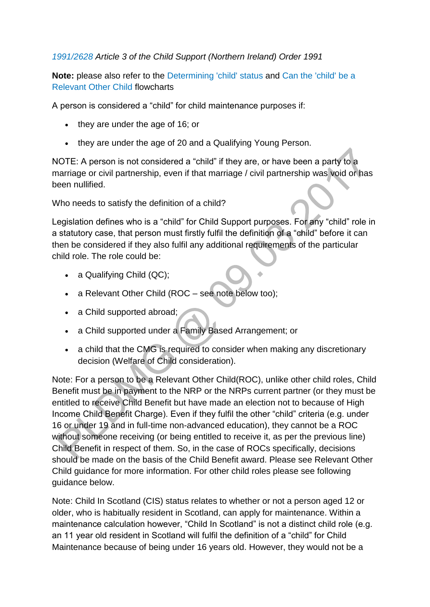*[1991/2628 A](http://www.legislation.gov.uk/nisi/1991/2628/contents)rticle 3 of the Child Support (Northern Ireland) Order 1991*

**Note:** please also refer to the [Determining 'child' status a](http://np-cmg-sharepoint.link2.gpn.gov.uk/sites/policy-law-and-decision-making-guidance/Pages/Determining-Child-Status.aspx)nd [Can the 'child' be a](http://np-cmg-sharepoint.link2.gpn.gov.uk/sites/policy-law-and-decision-making-guidance/Pages/Can-the-child-be-a-Relevant-Other-Child.aspx)  [Relevant Other Child](http://np-cmg-sharepoint.link2.gpn.gov.uk/sites/policy-law-and-decision-making-guidance/Pages/Can-the-child-be-a-Relevant-Other-Child.aspx) flowcharts

A person is considered a "child" for child maintenance purposes if:

- they are under the age of 16; or
- they are under the age of 20 and a Qualifying Young Person.

NOTE: A person is not considered a "child" if they are, or have been a party to a marriage or civil partnership, even if that marriage / civil partnership was void or has been nullified.

Who needs to satisfy the definition of a child?

Legislation defines who is a "child" for Child Support purposes. For any "child" role in a statutory case, that person must firstly fulfil the definition of a "child" before it can then be considered if they also fulfil any additional requirements of the particular child role. The role could be:

- a Qualifying Child (QC);
- a Relevant Other Child (ROC see note below too);
- a Child supported abroad;
- a Child supported under a Family Based Arrangement; or
- a child that the CMG is required to consider when making any discretionary decision (Welfare of Child consideration).

Note: For a person to be a Relevant Other Child(ROC), unlike other child roles, Child Benefit must be in payment to the NRP or the NRPs current partner (or they must be entitled to receive Child Benefit but have made an election not to because of High Income Child Benefit Charge). Even if they fulfil the other "child" criteria (e.g. under 16 or under 19 and in full-time non-advanced education), they cannot be a ROC without someone receiving (or being entitled to receive it, as per the previous line) Child Benefit in respect of them. So, in the case of ROCs specifically, decisions should be made on the basis of the Child Benefit award. Please see Relevant Other Child guidance for more information. For other child roles please see following guidance below.

Note: Child In Scotland (CIS) status relates to whether or not a person aged 12 or older, who is habitually resident in Scotland, can apply for maintenance. Within a maintenance calculation however, "Child In Scotland" is not a distinct child role (e.g. an 11 year old resident in Scotland will fulfil the definition of a "child" for Child Maintenance because of being under 16 years old. However, they would not be a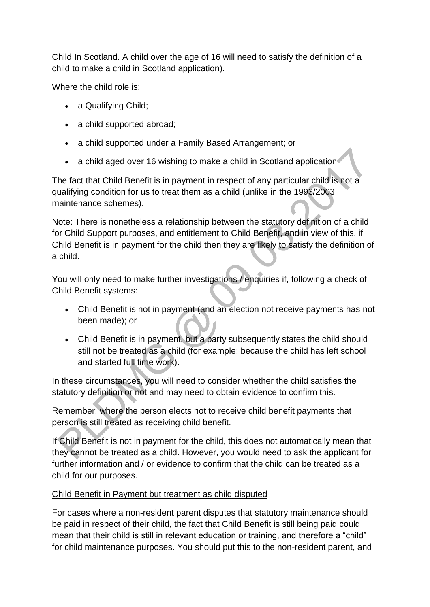Child In Scotland. A child over the age of 16 will need to satisfy the definition of a child to make a child in Scotland application).

Where the child role is:

- a Qualifying Child;
- a child supported abroad;
- a child supported under a Family Based Arrangement; or
- a child aged over 16 wishing to make a child in Scotland application

The fact that Child Benefit is in payment in respect of any particular child is not a qualifying condition for us to treat them as a child (unlike in the 1993/2003 maintenance schemes).

Note: There is nonetheless a relationship between the statutory definition of a child for Child Support purposes, and entitlement to Child Benefit, and in view of this, if Child Benefit is in payment for the child then they are likely to satisfy the definition of a child.

You will only need to make further investigations / enquiries if, following a check of Child Benefit systems:

- Child Benefit is not in payment (and an election not receive payments has not been made); or
- Child Benefit is in payment, but a party subsequently states the child should still not be treated as a child (for example: because the child has left school and started full time work).

In these circumstances, you will need to consider whether the child satisfies the statutory definition or not and may need to obtain evidence to confirm this.

Remember: where the person elects not to receive child benefit payments that person is still treated as receiving child benefit.

If Child Benefit is not in payment for the child, this does not automatically mean that they cannot be treated as a child. However, you would need to ask the applicant for further information and / or evidence to confirm that the child can be treated as a child for our purposes.

### Child Benefit in Payment but treatment as child disputed

For cases where a non-resident parent disputes that statutory maintenance should be paid in respect of their child, the fact that Child Benefit is still being paid could mean that their child is still in relevant education or training, and therefore a "child" for child maintenance purposes. You should put this to the non-resident parent, and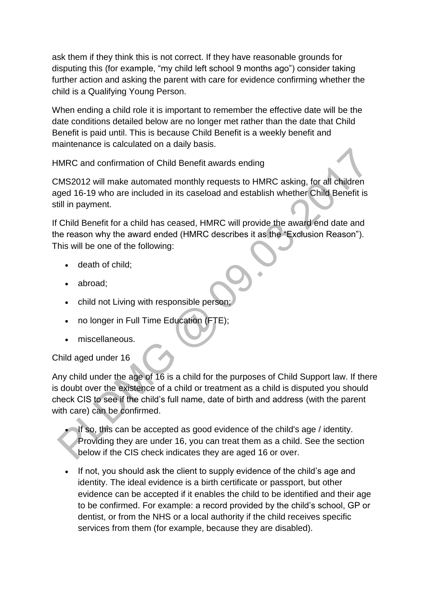ask them if they think this is not correct. If they have reasonable grounds for disputing this (for example, "my child left school 9 months ago") consider taking further action and asking the parent with care for evidence confirming whether the child is a Qualifying Young Person.

When ending a child role it is important to remember the effective date will be the date conditions detailed below are no longer met rather than the date that Child Benefit is paid until. This is because Child Benefit is a weekly benefit and maintenance is calculated on a daily basis.

HMRC and confirmation of Child Benefit awards ending

CMS2012 will make automated monthly requests to HMRC asking, for all children aged 16-19 who are included in its caseload and establish whether Child Benefit is still in payment.

If Child Benefit for a child has ceased, HMRC will provide the award end date and the reason why the award ended (HMRC describes it as the "Exclusion Reason"). This will be one of the following:

- death of child;
- abroad;
- child not Living with responsible person;
- no longer in Full Time Education (FTE);
- miscellaneous.

#### Child aged under 16

Any child under the age of 16 is a child for the purposes of Child Support law. If there is doubt over the existence of a child or treatment as a child is disputed you should check CIS to see if the child's full name, date of birth and address (with the parent with care) can be confirmed.

 If so, this can be accepted as good evidence of the child's age / identity. Providing they are under 16, you can treat them as a child. See the section below if the CIS check indicates they are aged 16 or over.

 If not, you should ask the client to supply evidence of the child's age and identity. The ideal evidence is a birth certificate or passport, but other evidence can be accepted if it enables the child to be identified and their age to be confirmed. For example: a record provided by the child's school, GP or dentist, or from the NHS or a local authority if the child receives specific services from them (for example, because they are disabled).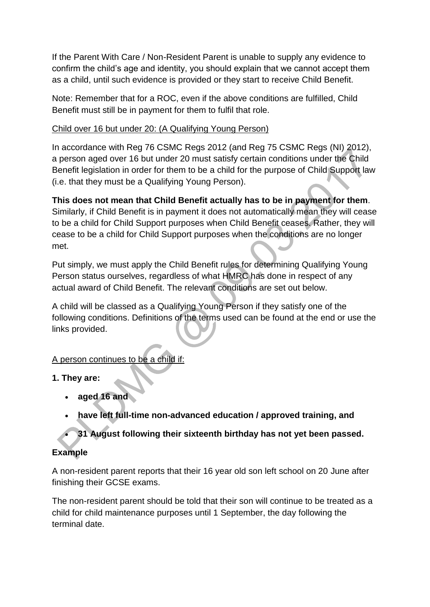If the Parent With Care / Non-Resident Parent is unable to supply any evidence to confirm the child's age and identity, you should explain that we cannot accept them as a child, until such evidence is provided or they start to receive Child Benefit.

Note: Remember that for a ROC, even if the above conditions are fulfilled, Child Benefit must still be in payment for them to fulfil that role.

#### Child over 16 but under 20: (A Qualifying Young Person)

In accordance with Reg 76 CSMC Regs 2012 (and Reg 75 CSMC Regs (NI) 2012), a person aged over 16 but under 20 must satisfy certain conditions under the Child Benefit legislation in order for them to be a child for the purpose of Child Support law (i.e. that they must be a Qualifying Young Person).

**This does not mean that Child Benefit actually has to be in payment for them**. Similarly, if Child Benefit is in payment it does not automatically mean they will cease to be a child for Child Support purposes when Child Benefit ceases. Rather, they will cease to be a child for Child Support purposes when the conditions are no longer met.

Put simply, we must apply the Child Benefit rules for determining Qualifying Young Person status ourselves, regardless of what HMRC has done in respect of any actual award of Child Benefit. The relevant conditions are set out below.

A child will be classed as a Qualifying Young Person if they satisfy one of the following conditions. Definitions of the terms used can be found at the end or use the links provided.

# A person continues to be a child if:

- **1. They are:** 
	- **aged 16 and**
	- **have left full-time non-advanced education / approved training, and**

**31 August following their sixteenth birthday has not yet been passed.**

#### **Example**

A non-resident parent reports that their 16 year old son left school on 20 June after finishing their GCSE exams.

The non-resident parent should be told that their son will continue to be treated as a child for child maintenance purposes until 1 September, the day following the terminal date.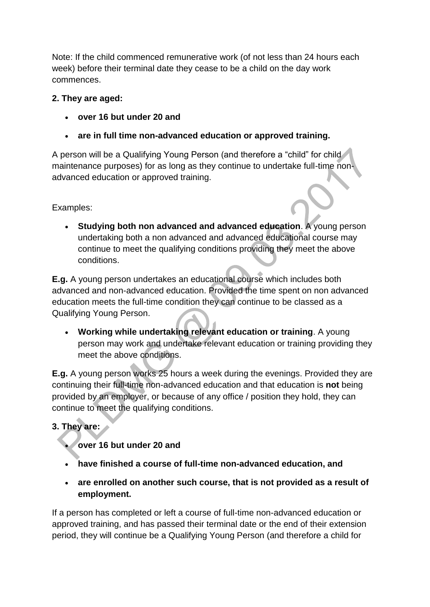Note: If the child commenced remunerative work (of not less than 24 hours each week) before their terminal date they cease to be a child on the day work commences.

### **2. They are aged:**

- **over 16 but under 20 and**
- **are in full time non-advanced education or approved training.**

A person will be a Qualifying Young Person (and therefore a "child" for child maintenance purposes) for as long as they continue to undertake full-time nonadvanced education or approved training.

Examples:

 **Studying both non advanced and advanced education**. A young person undertaking both a non advanced and advanced educational course may continue to meet the qualifying conditions providing they meet the above conditions.

**E.g.** A young person undertakes an educational course which includes both advanced and non-advanced education. Provided the time spent on non advanced education meets the full-time condition they can continue to be classed as a Qualifying Young Person.

 **Working while undertaking relevant education or training**. A young person may work and undertake relevant education or training providing they meet the above conditions.

**E.g.** A young person works 25 hours a week during the evenings. Provided they are continuing their full-time non-advanced education and that education is **not** being provided by an employer, or because of any office / position they hold, they can continue to meet the qualifying conditions.

# **3. They are:**

- **over 16 but under 20 and**
- **have finished a course of full-time non-advanced education, and**
- **are enrolled on another such course, that is not provided as a result of employment.**

If a person has completed or left a course of full-time non-advanced education or approved training, and has passed their terminal date or the end of their extension period, they will continue be a Qualifying Young Person (and therefore a child for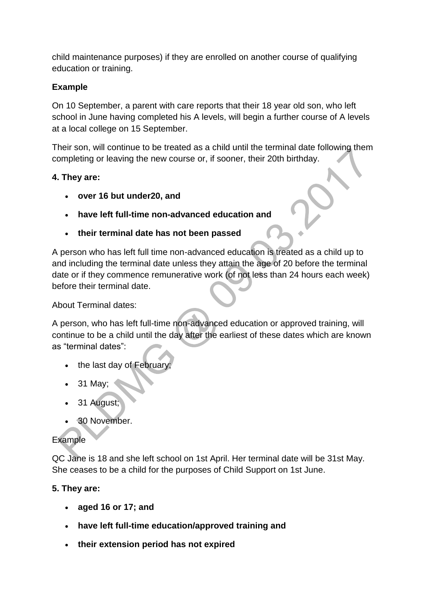child maintenance purposes) if they are enrolled on another course of qualifying education or training.

### **Example**

On 10 September, a parent with care reports that their 18 year old son, who left school in June having completed his A levels, will begin a further course of A levels at a local college on 15 September.

Their son, will continue to be treated as a child until the terminal date following them completing or leaving the new course or, if sooner, their 20th birthday.

### **4. They are:**

- **over 16 but under20, and**
- **have left full-time non-advanced education and**
- **their terminal date has not been passed**

A person who has left full time non-advanced education is treated as a child up to and including the terminal date unless they attain the age of 20 before the terminal date or if they commence remunerative work (of not less than 24 hours each week) before their terminal date.

About Terminal dates:

A person, who has left full-time non-advanced education or approved training, will continue to be a child until the day after the earliest of these dates which are known as "terminal dates":

- the last day of February.
- 31 May;
- 31 August;
- 30 November.

### Example

QC Jane is 18 and she left school on 1st April. Her terminal date will be 31st May. She ceases to be a child for the purposes of Child Support on 1st June.

### **5. They are:**

- **aged 16 or 17; and**
- **have left full-time education/approved training and**
- **their extension period has not expired**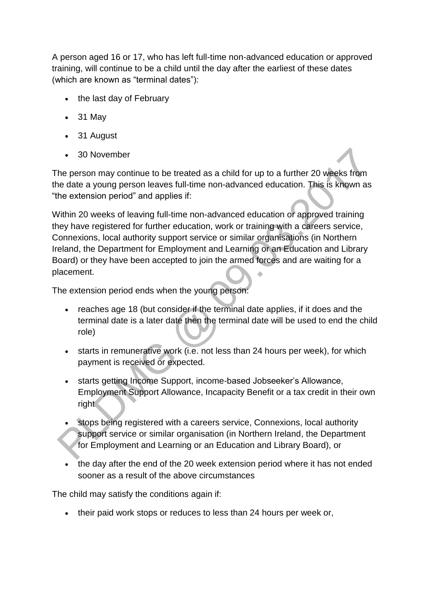A person aged 16 or 17, who has left full-time non-advanced education or approved training, will continue to be a child until the day after the earliest of these dates (which are known as "terminal dates"):

- the last day of February
- 31 May
- 31 August
- 30 November

The person may continue to be treated as a child for up to a further 20 weeks from the date a young person leaves full-time non-advanced education. This is known as "the extension period" and applies if:

Within 20 weeks of leaving full-time non-advanced education or approved training they have registered for further education, work or training with a careers service, Connexions, local authority support service or similar organisations (in Northern Ireland, the Department for Employment and Learning or an Education and Library Board) or they have been accepted to join the armed forces and are waiting for a placement.

The extension period ends when the young person:

- reaches age 18 (but consider if the terminal date applies, if it does and the terminal date is a later date then the terminal date will be used to end the child role)
- starts in remunerative work (i.e. not less than 24 hours per week), for which payment is received or expected.
- starts getting Income Support, income-based Jobseeker's Allowance, Employment Support Allowance, Incapacity Benefit or a tax credit in their own right
- stops being registered with a careers service, Connexions, local authority support service or similar organisation (in Northern Ireland, the Department for Employment and Learning or an Education and Library Board), or
- the day after the end of the 20 week extension period where it has not ended sooner as a result of the above circumstances

The child may satisfy the conditions again if:

• their paid work stops or reduces to less than 24 hours per week or,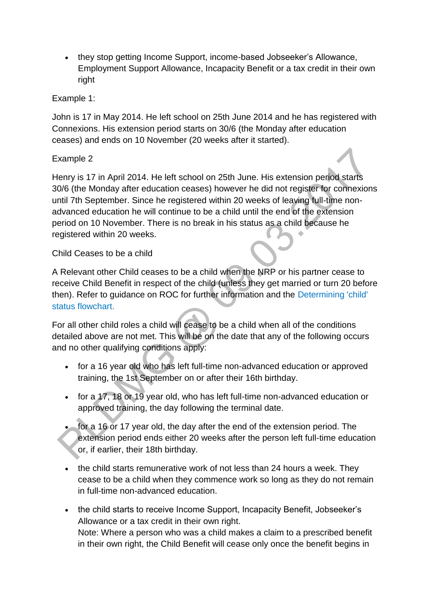• they stop getting Income Support, income-based Jobseeker's Allowance, Employment Support Allowance, Incapacity Benefit or a tax credit in their own right

#### Example 1:

John is 17 in May 2014. He left school on 25th June 2014 and he has registered with Connexions. His extension period starts on 30/6 (the Monday after education ceases) and ends on 10 November (20 weeks after it started).

### Example 2

Henry is 17 in April 2014. He left school on 25th June. His extension period starts 30/6 (the Monday after education ceases) however he did not register for connexions until 7th September. Since he registered within 20 weeks of leaving full-time nonadvanced education he will continue to be a child until the end of the extension period on 10 November. There is no break in his status as a child because he registered within 20 weeks.

#### Child Ceases to be a child

A Relevant other Child ceases to be a child when the NRP or his partner cease to receive Child Benefit in respect of the child (unless they get married or turn 20 before then). Refer to guidance on ROC for further information and the [Determining 'child'](http://np-cmg-sharepoint.link2.gpn.gov.uk/sites/policy-law-and-decision-making-guidance/Pages/Determining-Child-Status.aspx)  [status flowchart.](http://np-cmg-sharepoint.link2.gpn.gov.uk/sites/policy-law-and-decision-making-guidance/Pages/Determining-Child-Status.aspx) 

For all other child roles a child will cease to be a child when all of the conditions detailed above are not met. This will be on the date that any of the following occurs and no other qualifying conditions apply:

- for a 16 year old who has left full-time non-advanced education or approved training, the 1st September on or after their 16th birthday.
- for a 17, 18 or 19 year old, who has left full-time non-advanced education or approved training, the day following the terminal date.
- for a 16 or 17 year old, the day after the end of the extension period. The extension period ends either 20 weeks after the person left full-time education or, if earlier, their 18th birthday.
- the child starts remunerative work of not less than 24 hours a week. They cease to be a child when they commence work so long as they do not remain in full-time non-advanced education.
- the child starts to receive Income Support, Incapacity Benefit, Jobseeker's Allowance or a tax credit in their own right. Note: Where a person who was a child makes a claim to a prescribed benefit in their own right, the Child Benefit will cease only once the benefit begins in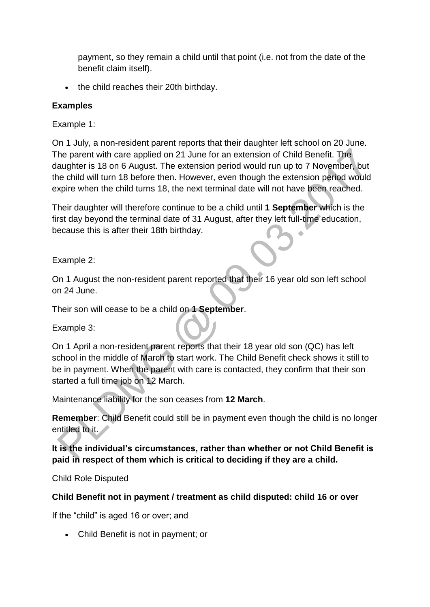payment, so they remain a child until that point (i.e. not from the date of the benefit claim itself).

• the child reaches their 20th birthday.

### **Examples**

Example 1:

On 1 July, a non-resident parent reports that their daughter left school on 20 June. The parent with care applied on 21 June for an extension of Child Benefit. The daughter is 18 on 6 August. The extension period would run up to 7 November, but the child will turn 18 before then. However, even though the extension period would expire when the child turns 18, the next terminal date will not have been reached.

Their daughter will therefore continue to be a child until **1 September** which is the first day beyond the terminal date of 31 August, after they left full-time education, because this is after their 18th birthday.

Example 2:

On 1 August the non-resident parent reported that their 16 year old son left school on 24 June.

Their son will cease to be a child on **1 September**.

Example 3:

On 1 April a non-resident parent reports that their 18 year old son (QC) has left school in the middle of March to start work. The Child Benefit check shows it still to be in payment. When the parent with care is contacted, they confirm that their son started a full time job on 12 March.

Maintenance liability for the son ceases from **12 March**.

**Remember**: Child Benefit could still be in payment even though the child is no longer entitled to it.

**It is the individual's circumstances, rather than whether or not Child Benefit is paid in respect of them which is critical to deciding if they are a child.**

Child Role Disputed

#### **Child Benefit not in payment / treatment as child disputed: child 16 or over**

If the "child" is aged 16 or over; and

Child Benefit is not in payment; or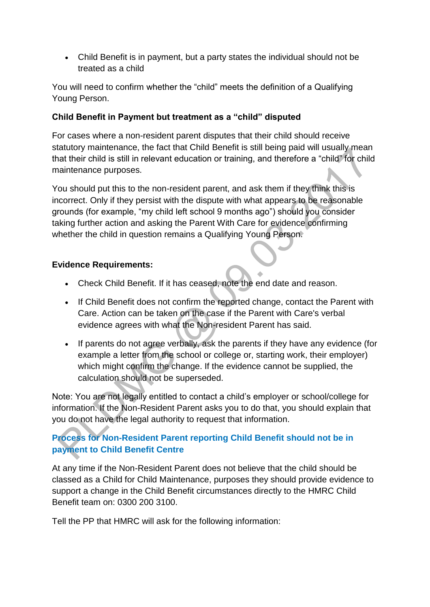Child Benefit is in payment, but a party states the individual should not be treated as a child

You will need to confirm whether the "child" meets the definition of a Qualifying Young Person.

### **Child Benefit in Payment but treatment as a "child" disputed**

For cases where a non-resident parent disputes that their child should receive statutory maintenance, the fact that Child Benefit is still being paid will usually mean that their child is still in relevant education or training, and therefore a "child" for child maintenance purposes.

You should put this to the non-resident parent, and ask them if they think this is incorrect. Only if they persist with the dispute with what appears to be reasonable grounds (for example, "my child left school 9 months ago") should you consider taking further action and asking the Parent With Care for evidence confirming whether the child in question remains a Qualifying Young Person.

#### **Evidence Requirements:**

- Check Child Benefit. If it has ceased, note the end date and reason.
- If Child Benefit does not confirm the reported change, contact the Parent with Care. Action can be taken on the case if the Parent with Care's verbal evidence agrees with what the Non-resident Parent has said.
- If parents do not agree verbally, ask the parents if they have any evidence (for example a letter from the school or college or, starting work, their employer) which might confirm the change. If the evidence cannot be supplied, the calculation should not be superseded.

Note: You are not legally entitled to contact a child's employer or school/college for information. If the Non-Resident Parent asks you to do that, you should explain that you do not have the legal authority to request that information.

## **[Process for Non-Resident Parent reporting Child Benefit should not be in](http://np-cmg-sharepoint.link2.gpn.gov.uk/sites/policy-law-and-decision-making-guidance/Pages/Applications/)  [payment to Child Benefit Centre](http://np-cmg-sharepoint.link2.gpn.gov.uk/sites/policy-law-and-decision-making-guidance/Pages/Applications/)**

At any time if the Non-Resident Parent does not believe that the child should be classed as a Child for Child Maintenance, purposes they should provide evidence to support a change in the Child Benefit circumstances directly to the HMRC Child Benefit team on: 0300 200 3100.

Tell the PP that HMRC will ask for the following information: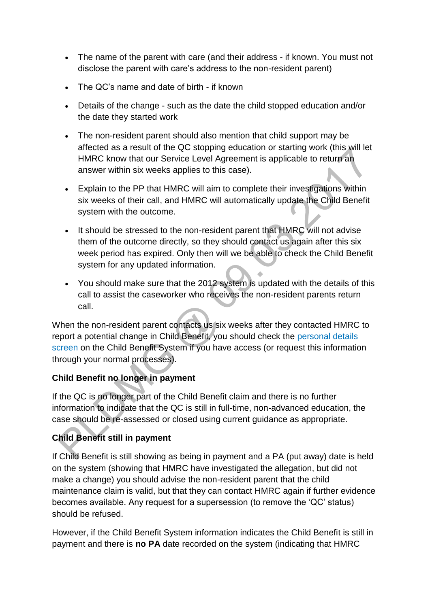- The name of the parent with care (and their address if known. You must not disclose the parent with care's address to the non-resident parent)
- The QC's name and date of birth if known
- Details of the change such as the date the child stopped education and/or the date they started work
- The non-resident parent should also mention that child support may be affected as a result of the QC stopping education or starting work (this will let HMRC know that our Service Level Agreement is applicable to return an answer within six weeks applies to this case).
- Explain to the PP that HMRC will aim to complete their investigations within six weeks of their call, and HMRC will automatically update the Child Benefit system with the outcome.
- It should be stressed to the non-resident parent that HMRC will not advise them of the outcome directly, so they should contact us again after this six week period has expired. Only then will we be able to check the Child Benefit system for any updated information.
- You should make sure that the 2012 system is updated with the details of this call to assist the caseworker who receives the non-resident parents return call.

When the non-resident parent contacts us six weeks after they contacted HMRC to report a potential change in Child Benefit, you should check the [personal details](http://intralink/2/csa/guides/srg/srg_5/v5_app9.htm)  [screen](http://intralink/2/csa/guides/srg/srg_5/v5_app9.htm) on the Child Benefit System if you have access (or request this information through your normal processes).

### **Child Benefit no longer in payment**

If the QC is no longer part of the Child Benefit claim and there is no further information to indicate that the QC is still in full-time, non-advanced education, the case should be re-assessed or closed using current guidance as appropriate.

# **Child Benefit still in payment**

If Child Benefit is still showing as being in payment and a PA (put away) date is held on the system (showing that HMRC have investigated the allegation, but did not make a change) you should advise the non-resident parent that the child maintenance claim is valid, but that they can contact HMRC again if further evidence becomes available. Any request for a supersession (to remove the 'QC' status) should be refused.

However, if the Child Benefit System information indicates the Child Benefit is still in payment and there is **no PA** date recorded on the system (indicating that HMRC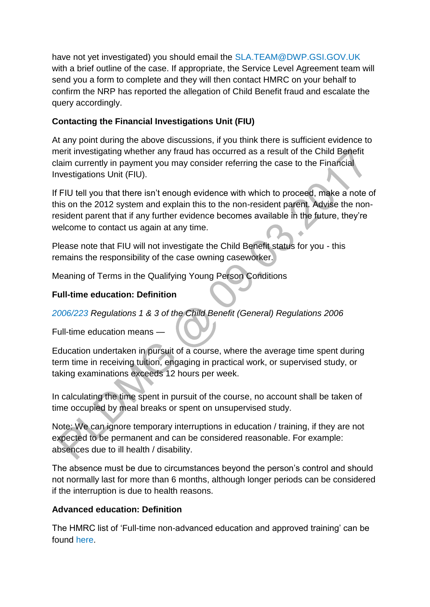have not yet investigated) you should email the [SLA.TEAM@DWP.GSI.GOV.UK](mailto:SLA.TEAM@DWP.GSI.GOV.UK) with a brief outline of the case. If appropriate, the Service Level Agreement team will send you a form to complete and they will then contact HMRC on your behalf to confirm the NRP has reported the allegation of Child Benefit fraud and escalate the query accordingly.

### **Contacting the Financial Investigations Unit (FIU)**

At any point during the above discussions, if you think there is sufficient evidence to merit investigating whether any fraud has occurred as a result of the Child Benefit claim currently in payment you may consider referring the case to the Financial Investigations Unit (FIU).

If FIU tell you that there isn't enough evidence with which to proceed, make a note of this on the 2012 system and explain this to the non-resident parent. Advise the nonresident parent that if any further evidence becomes available in the future, they're welcome to contact us again at any time.  $\ddot{\phantom{a}}$ 

Please note that FIU will not investigate the Child Benefit status for you - this remains the responsibility of the case owning caseworker.

Meaning of Terms in the Qualifying Young Person Conditions

### **Full-time education: Definition**

*[2006/223 R](http://www.legislation.gov.uk/uksi/2006/223/contents/made)egulations 1 & 3 of the Child Benefit (General) Regulations 2006*

Full-time education means —

Education undertaken in pursuit of a course, where the average time spent during term time in receiving tuition, engaging in practical work, or supervised study, or taking examinations exceeds 12 hours per week.

In calculating the time spent in pursuit of the course, no account shall be taken of time occupied by meal breaks or spent on unsupervised study.

Note: We can ignore temporary interruptions in education / training, if they are not expected to be permanent and can be considered reasonable. For example: absences due to ill health / disability.

The absence must be due to circumstances beyond the person's control and should not normally last for more than 6 months, although longer periods can be considered if the interruption is due to health reasons.

### **Advanced education: Definition**

The HMRC list of 'Full-time non-advanced education and approved training' can be found [here.](https://www.tax.service.gov.uk/information/help?helpcategory=shortform&helpid=CBOFTECH299e)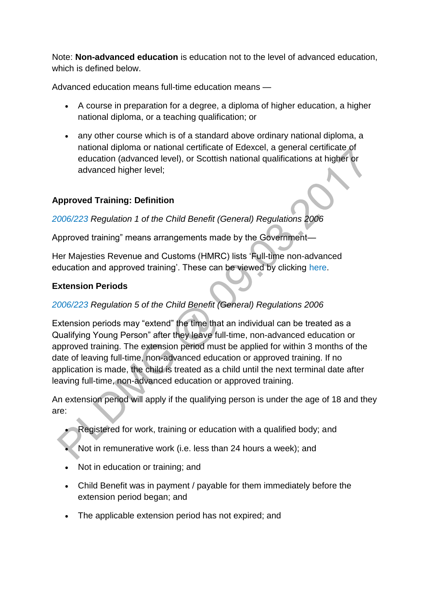Note: **Non-advanced education** is education not to the level of advanced education, which is defined below.

Advanced education means full-time education means —

- A course in preparation for a degree, a diploma of higher education, a higher national diploma, or a teaching qualification; or
- any other course which is of a standard above ordinary national diploma, a national diploma or national certificate of Edexcel, a general certificate of education (advanced level), or Scottish national qualifications at higher or advanced higher level:

### **Approved Training: Definition**

*[2006/223 R](http://www.legislation.gov.uk/uksi/2006/223/contents/made)egulation 1 of the Child Benefit (General) Regulations 2006*

Approved training" means arrangements made by the Government—

Her Majesties Revenue and Customs (HMRC) lists 'Full-time non-advanced education and approved training'. These can be viewed by clicking [here.](https://www.tax.service.gov.uk/information/help?helpcategory=shortform&helpid=CBOFTECH299e)

### **Extension Periods**

### *[2006/223 R](http://www.legislation.gov.uk/uksi/2006/223/contents/made)egulation 5 of the Child Benefit (General) Regulations 2006*

Extension periods may "extend" the time that an individual can be treated as a Qualifying Young Person" after they leave full-time, non-advanced education or approved training. The extension period must be applied for within 3 months of the date of leaving full-time, non-advanced education or approved training. If no application is made, the child is treated as a child until the next terminal date after leaving full-time, non-advanced education or approved training.

An extension period will apply if the qualifying person is under the age of 18 and they are:

- Registered for work, training or education with a qualified body; and
- Not in remunerative work (i.e. less than 24 hours a week); and
- Not in education or training; and
- Child Benefit was in payment / payable for them immediately before the extension period began; and
- The applicable extension period has not expired; and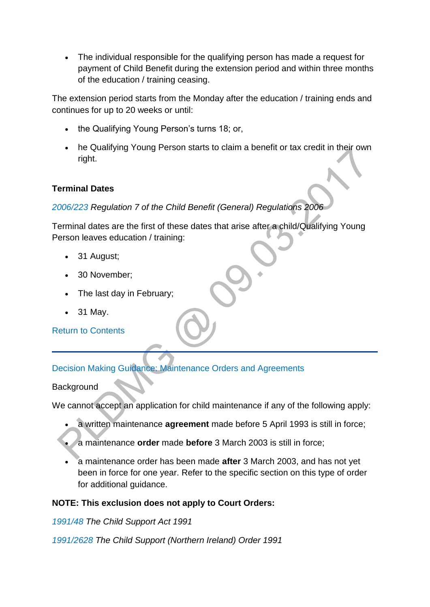The individual responsible for the qualifying person has made a request for payment of Child Benefit during the extension period and within three months of the education / training ceasing.

The extension period starts from the Monday after the education / training ends and continues for up to 20 weeks or until:

- the Qualifying Young Person's turns 18; or,
- he Qualifying Young Person starts to claim a benefit or tax credit in their own right.

### **Terminal Dates**

*[2006/223](http://www.legislation.gov.uk/uksi/2006/223/contents/made) Regulation 7 of the Child Benefit (General) Regulations 2006*

Terminal dates are the first of these dates that arise after a child/Qualifying Young Person leaves education / training:

- 31 August;
- 30 November:
- The last day in February;
- 31 May.

[Return to Contents](http://np-cmg-sharepoint.link2.gpn.gov.uk/sites/policy-law-and-decision-making-guidance/Pages/Applications/Applications.aspx#DMGcontents)

### [Decision Making Guidance: Maintenance Orders and Agreements](http://np-cmg-sharepoint.link2.gpn.gov.uk/sites/policy-law-and-decision-making-guidance/Pages/Applications/Applications.aspx)

**Background** 

We cannot accept an application for child maintenance if any of the following apply:

- a written maintenance **agreement** made before 5 April 1993 is still in force;
- a maintenance **order** made **before** 3 March 2003 is still in force;
- a maintenance order has been made **after** 3 March 2003, and has not yet been in force for one year. Refer to the specific section on this type of order for additional guidance.

### **NOTE: This exclusion does not apply to Court Orders:**

*[1991/48 T](http://www.legislation.gov.uk/ukpga/1991/48)he Child Support Act 1991*

*[1991/2628 T](http://www.legislation.gov.uk/nisi/1991/2628/contents)he Child Support (Northern Ireland) Order 1991*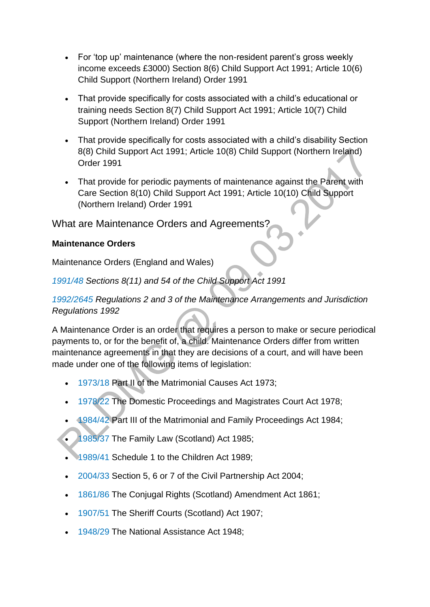- For 'top up' maintenance (where the non-resident parent's gross weekly income exceeds £3000) Section 8(6) Child Support Act 1991; Article 10(6) Child Support (Northern Ireland) Order 1991
- That provide specifically for costs associated with a child's educational or training needs Section 8(7) Child Support Act 1991; Article 10(7) Child Support (Northern Ireland) Order 1991
- That provide specifically for costs associated with a child's disability Section 8(8) Child Support Act 1991; Article 10(8) Child Support (Northern Ireland) Order 1991
- That provide for periodic payments of maintenance against the Parent with Care Section 8(10) Child Support Act 1991; Article 10(10) Child Support (Northern Ireland) Order 1991

## What are Maintenance Orders and Agreements?

### **Maintenance Orders**

Maintenance Orders (England and Wales)

*[1991/48 S](http://www.legislation.gov.uk/ukpga/1991/48)ections 8(11) and 54 of the Child Support Act 1991*

### *[1992/2645](http://www.legislation.gov.uk/uksi/1992/2645/pdfs/uksi_19922645_301114_en.pdf) Regulations 2 and 3 of the Maintenance Arrangements and Jurisdiction Regulations 1992*

A Maintenance Order is an order that requires a person to make or secure periodical payments to, or for the benefit of, a child. Maintenance Orders differ from written maintenance agreements in that they are decisions of a court, and will have been made under one of the following items of legislation:

- [1973/18](http://www.legislation.gov.uk/ukpga/1973/18/contents) Part II of the Matrimonial Causes Act 1973;
- [1978/22 T](http://www.legislation.gov.uk/ukpga/1978/22/contents)he Domestic Proceedings and Magistrates Court Act 1978;
- [1984/42 P](http://www.legislation.gov.uk/ukpga/1984/42/contents)art III of the Matrimonial and Family Proceedings Act 1984;
- [1985/37 T](http://www.legislation.gov.uk/ukpga/1985/37/contents)he Family Law (Scotland) Act 1985;
- [1989/41 S](http://www.legislation.gov.uk/ukpga/1989/41/contents)chedule 1 to the Children Act 1989;
- [2004/33 S](http://www.legislation.gov.uk/ukpga/2004/33/contents)ection 5, 6 or 7 of the Civil Partnership Act 2004;
- [1861/86](http://www.legislation.gov.uk/ukpga/Vict/24-25/86/contents) The Conjugal Rights (Scotland) Amendment Act 1861;
- [1907/51](http://www.legislation.gov.uk/ukpga/Edw7/7/51/contents) The Sheriff Courts (Scotland) Act 1907;
- [1948/29 T](http://www.legislation.gov.uk/ukpga/Geo6/11-12/29/contents)he National Assistance Act 1948;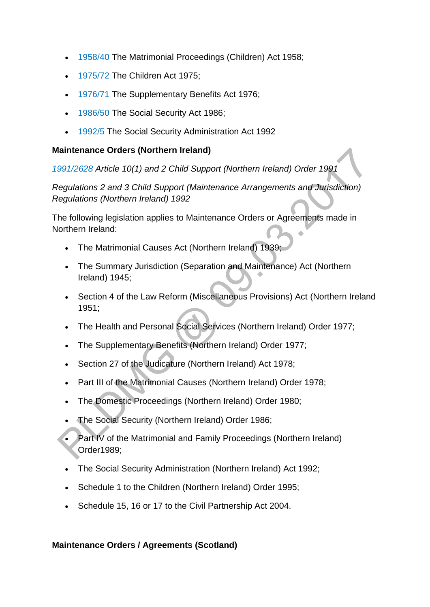- [1958/40](http://www.legislation.gov.uk/ukpga/Eliz2/6-7/40/contents) The Matrimonial Proceedings (Children) Act 1958;
- [1975/72](http://www.legislation.gov.uk/ukpga/1975/72/contents) The Children Act 1975;
- [1976/71 T](http://www.legislation.gov.uk/ukpga/1976/71/contents)he Supplementary Benefits Act 1976;
- [1986/50 T](http://www.legislation.gov.uk/ukpga/1986/50/contents)he Social Security Act 1986;
- [1992/5](http://www.legislation.gov.uk/ukpga/1992/5) The Social Security Administration Act 1992

#### **Maintenance Orders (Northern Ireland)**

*[1991/2628 A](http://www.legislation.gov.uk/nisi/1991/2628/contents)rticle 10(1) and 2 Child Support (Northern Ireland) Order 1991*

*Regulations 2 and 3 Child Support (Maintenance Arrangements and Jurisdiction) Regulations (Northern Ireland) 1992*

The following legislation applies to Maintenance Orders or Agreements made in Northern Ireland:

- The Matrimonial Causes Act (Northern Ireland) 1939;
- The Summary Jurisdiction (Separation and Maintenance) Act (Northern Ireland) 1945;
- Section 4 of the Law Reform (Miscellaneous Provisions) Act (Northern Ireland 1951;
- The Health and Personal Social Services (Northern Ireland) Order 1977;
- The Supplementary Benefits (Northern Ireland) Order 1977;
- Section 27 of the Judicature (Northern Ireland) Act 1978;
- Part III of the Matrimonial Causes (Northern Ireland) Order 1978;
- The Domestic Proceedings (Northern Ireland) Order 1980;
- The Social Security (Northern Ireland) Order 1986;
- Part IV of the Matrimonial and Family Proceedings (Northern Ireland) Order1989;
- The Social Security Administration (Northern Ireland) Act 1992;
- Schedule 1 to the Children (Northern Ireland) Order 1995;
- Schedule 15, 16 or 17 to the Civil Partnership Act 2004.

#### **Maintenance Orders / Agreements (Scotland)**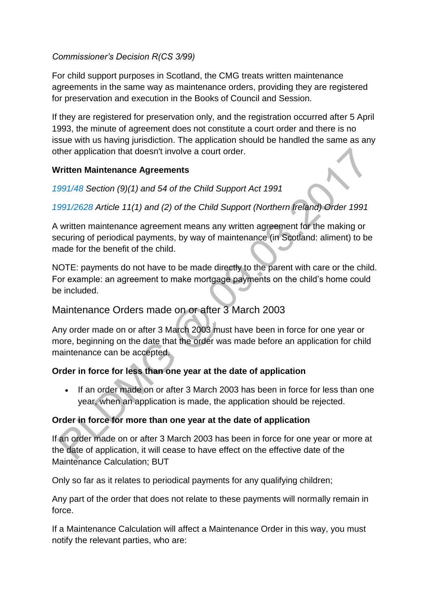### *Commissioner's Decision R(CS 3/99)*

For child support purposes in Scotland, the CMG treats written maintenance agreements in the same way as maintenance orders, providing they are registered for preservation and execution in the Books of Council and Session.

If they are registered for preservation only, and the registration occurred after 5 April 1993, the minute of agreement does not constitute a court order and there is no issue with us having jurisdiction. The application should be handled the same as any other application that doesn't involve a court order.

### **Written Maintenance Agreements**

### *[1991/48 S](http://www.legislation.gov.uk/ukpga/1991/48)ection (9)(1) and 54 of the Child Support Act 1991*

*[1991/2628 A](http://www.legislation.gov.uk/nisi/1991/2628/contents)rticle 11(1) and (2) of the Child Support (Northern Ireland) Order 1991* 

A written maintenance agreement means any written agreement for the making or securing of periodical payments, by way of maintenance (in Scotland: aliment) to be made for the benefit of the child.

NOTE: payments do not have to be made directly to the parent with care or the child. For example: an agreement to make mortgage payments on the child's home could be included.

# Maintenance Orders made on or after 3 March 2003

Any order made on or after 3 March 2003 must have been in force for one year or more, beginning on the date that the order was made before an application for child maintenance can be accepted.

### **Order in force for less than one year at the date of application**

• If an order made on or after 3 March 2003 has been in force for less than one year, when an application is made, the application should be rejected.

#### **Order in force for more than one year at the date of application**

If an order made on or after 3 March 2003 has been in force for one year or more at the date of application, it will cease to have effect on the effective date of the Maintenance Calculation; BUT

Only so far as it relates to periodical payments for any qualifying children;

Any part of the order that does not relate to these payments will normally remain in force.

If a Maintenance Calculation will affect a Maintenance Order in this way, you must notify the relevant parties, who are: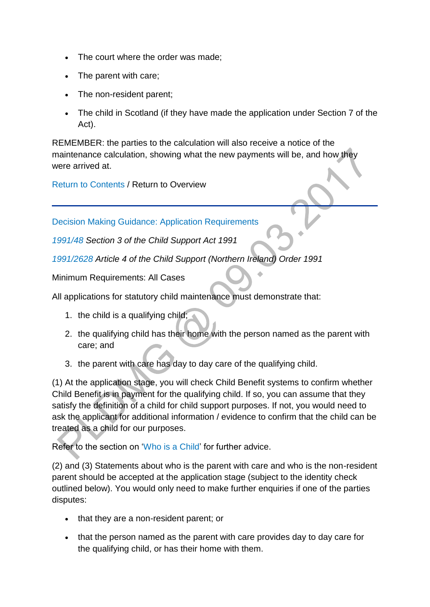- The court where the order was made;
- The parent with care;
- The non-resident parent;
- The child in Scotland (if they have made the application under Section 7 of the Act).

REMEMBER: the parties to the calculation will also receive a notice of the maintenance calculation, showing what the new payments will be, and how they were arrived at.

[Return to Contents](http://np-cmg-sharepoint.link2.gpn.gov.uk/sites/policy-law-and-decision-making-guidance/Pages/Applications/Applications.aspx#DMGcontents) / Return to Overview

[Decision Making Guidance: Application Requirements](http://np-cmg-sharepoint.link2.gpn.gov.uk/sites/policy-law-and-decision-making-guidance/Pages/Applications/Applications.aspx)

*[1991/48 S](http://www.legislation.gov.uk/ukpga/1991/48)ection 3 of the Child Support Act 1991*

*[1991/2628 A](http://www.legislation.gov.uk/nisi/1991/2628/contents)rticle 4 of the Child Support (Northern Ireland) Order 1991*

Minimum Requirements: All Cases

All applications for statutory child maintenance must demonstrate that:

- 1. the child is a qualifying child;
- 2. the qualifying child has their home with the person named as the parent with care; and
- 3. the parent with care has day to day care of the qualifying child.

(1) At the application stage, you will check Child Benefit systems to confirm whether Child Benefit is in payment for the qualifying child. If so, you can assume that they satisfy the definition of a child for child support purposes. If not, you would need to ask the applicant for additional information / evidence to confirm that the child can be treated as a child for our purposes.

Refer to the section on ['Who is a Child'](http://np-cmg-sharepoint.link2.gpn.gov.uk/sites/policy-law-and-decision-making-guidance/Pages/Applications/Applications.aspx#dmgchild) for further advice.

(2) and (3) Statements about who is the parent with care and who is the non-resident parent should be accepted at the application stage (subject to the identity check outlined below). You would only need to make further enquiries if one of the parties disputes:

- that they are a non-resident parent; or
- that the person named as the parent with care provides day to day care for the qualifying child, or has their home with them.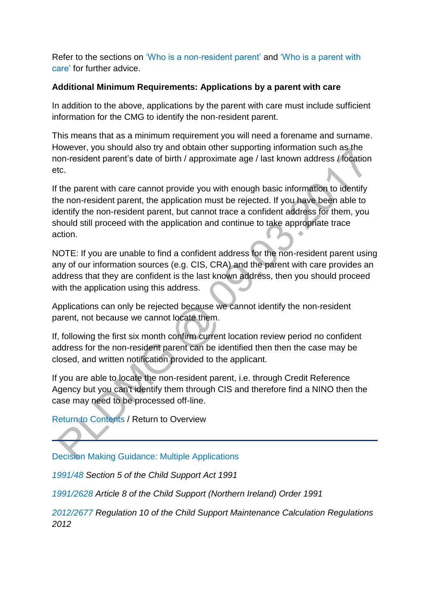Refer to the sections on ['Who is a non-resident parent'](http://np-cmg-sharepoint.link2.gpn.gov.uk/sites/policy-law-and-decision-making-guidance/Pages/Applications/Applications.aspx#dmgnrp) and ['Who is a parent with](http://np-cmg-sharepoint.link2.gpn.gov.uk/sites/policy-law-and-decision-making-guidance/Pages/Applications/Applications.aspx#dmgpwc)  [care'](http://np-cmg-sharepoint.link2.gpn.gov.uk/sites/policy-law-and-decision-making-guidance/Pages/Applications/Applications.aspx#dmgpwc) for further advice.

#### **Additional Minimum Requirements: Applications by a parent with care**

In addition to the above, applications by the parent with care must include sufficient information for the CMG to identify the non-resident parent.

This means that as a minimum requirement you will need a forename and surname. However, you should also try and obtain other supporting information such as the non-resident parent's date of birth / approximate age / last known address / location etc.

If the parent with care cannot provide you with enough basic information to identify the non-resident parent, the application must be rejected. If you have been able to identify the non-resident parent, but cannot trace a confident address for them, you should still proceed with the application and continue to take appropriate trace action.

NOTE: If you are unable to find a confident address for the non-resident parent using any of our information sources (e.g. CIS, CRA) and the parent with care provides an address that they are confident is the last known address, then you should proceed with the application using this address.

Applications can only be rejected because we cannot identify the non-resident parent, not because we cannot locate them.

If, following the first six month confirm current location review period no confident address for the non-resident parent can be identified then then the case may be closed, and written notification provided to the applicant.

If you are able to locate the non-resident parent, i.e. through Credit Reference Agency but you can't identify them through CIS and therefore find a NINO then the case may need to be processed off-line.

[Return to Contents](http://np-cmg-sharepoint.link2.gpn.gov.uk/sites/policy-law-and-decision-making-guidance/Pages/Applications/Applications.aspx#DMGcontents) / Return to Overview

[Decision Making Guidance: Multiple Applications](http://np-cmg-sharepoint.link2.gpn.gov.uk/sites/policy-law-and-decision-making-guidance/Pages/Applications/Applications.aspx)

*[1991/48 S](http://www.legislation.gov.uk/ukpga/1991/48)ection 5 of the Child Support Act 1991*

*[1991/2628 A](http://www.legislation.gov.uk/nisi/1991/2628/contents)rticle 8 of the Child Support (Northern Ireland) Order 1991*

*[2012/2677 R](http://www.legislation.gov.uk/uksi/2012/2677/pdfs/uksi_20122677_301114_en.pdf)egulation 10 of the Child Support Maintenance Calculation Regulations 2012*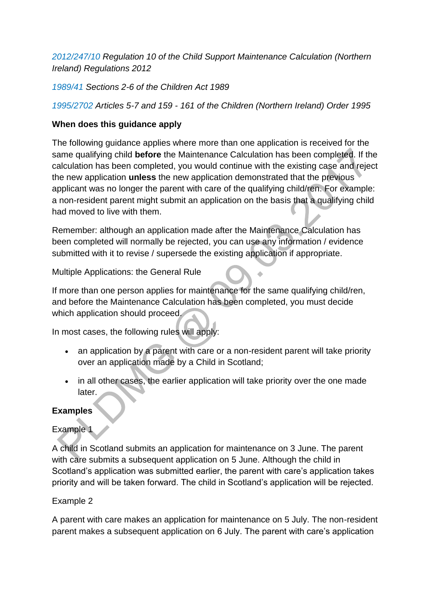*[2012/247/10](http://www.legislation.gov.uk/nisr/2012/427/regulation/10/made) Regulation 10 of the Child Support Maintenance Calculation (Northern Ireland) Regulations 2012*

*[1989/41](http://www.legislation.gov.uk/ukpga/1989/41/contents) Sections 2-6 of the Children Act 1989*

*[1995/2702 A](http://www.legislation.gov.uk/nisi/1995/2702/contents)rticles 5-7 and 159 - 161 of the Children (Northern Ireland) Order 1995*

### **When does this guidance apply**

The following guidance applies where more than one application is received for the same qualifying child **before** the Maintenance Calculation has been completed. If the calculation has been completed, you would continue with the existing case and reject the new application **unless** the new application demonstrated that the previous applicant was no longer the parent with care of the qualifying child/ren. For example: a non-resident parent might submit an application on the basis that a qualifying child had moved to live with them.

Remember: although an application made after the Maintenance Calculation has been completed will normally be rejected, you can use any information / evidence submitted with it to revise / supersede the existing application if appropriate.

Multiple Applications: the General Rule

If more than one person applies for maintenance for the same qualifying child/ren, and before the Maintenance Calculation has been completed, you must decide which application should proceed.

In most cases, the following rules will apply:

- an application by a parent with care or a non-resident parent will take priority over an application made by a Child in Scotland;
- in all other cases, the earlier application will take priority over the one made later.

### **Examples**

### Example 1

A child in Scotland submits an application for maintenance on 3 June. The parent with care submits a subsequent application on 5 June. Although the child in Scotland's application was submitted earlier, the parent with care's application takes priority and will be taken forward. The child in Scotland's application will be rejected.

### Example 2

A parent with care makes an application for maintenance on 5 July. The non-resident parent makes a subsequent application on 6 July. The parent with care's application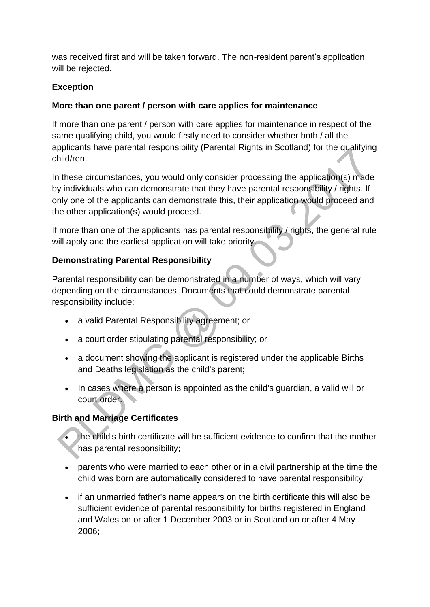was received first and will be taken forward. The non-resident parent's application will be rejected.

### **Exception**

### **More than one parent / person with care applies for maintenance**

If more than one parent / person with care applies for maintenance in respect of the same qualifying child, you would firstly need to consider whether both / all the applicants have parental responsibility (Parental Rights in Scotland) for the qualifying child/ren.

In these circumstances, you would only consider processing the application(s) made by individuals who can demonstrate that they have parental responsibility / rights. If only one of the applicants can demonstrate this, their application would proceed and the other application(s) would proceed.

If more than one of the applicants has parental responsibility / rights, the general rule will apply and the earliest application will take priority.

### **Demonstrating Parental Responsibility**

Parental responsibility can be demonstrated in a number of ways, which will vary depending on the circumstances. Documents that could demonstrate parental responsibility include:

- a valid Parental Responsibility agreement; or
- a court order stipulating parental responsibility; or
- a document showing the applicant is registered under the applicable Births and Deaths legislation as the child's parent;
- In cases where a person is appointed as the child's quardian, a valid will or court order.

#### **Birth and Marriage Certificates**

- the child's birth certificate will be sufficient evidence to confirm that the mother has parental responsibility;
- parents who were married to each other or in a civil partnership at the time the child was born are automatically considered to have parental responsibility;
- if an unmarried father's name appears on the birth certificate this will also be sufficient evidence of parental responsibility for births registered in England and Wales on or after 1 December 2003 or in Scotland on or after 4 May 2006;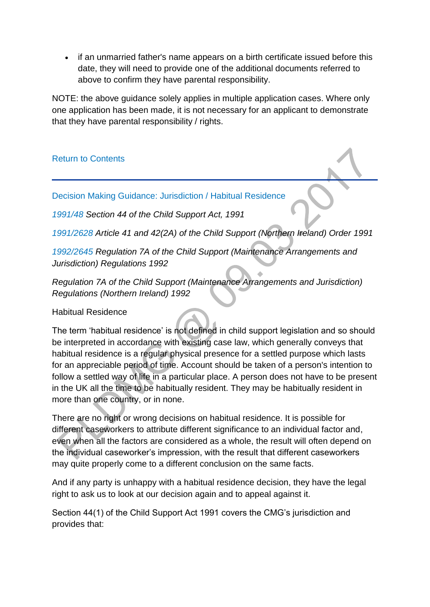• if an unmarried father's name appears on a birth certificate issued before this date, they will need to provide one of the additional documents referred to above to confirm they have parental responsibility.

NOTE: the above guidance solely applies in multiple application cases. Where only one application has been made, it is not necessary for an applicant to demonstrate that they have parental responsibility / rights.

### [Return to Contents](http://np-cmg-sharepoint.link2.gpn.gov.uk/sites/policy-law-and-decision-making-guidance/Pages/Applications/Applications.aspx#DMGcontents)

[Decision Making Guidance: Jurisdiction / Habitual Residence](http://np-cmg-sharepoint.link2.gpn.gov.uk/sites/policy-law-and-decision-making-guidance/Pages/Applications/Applications.aspx)

*[1991/48 S](http://www.legislation.gov.uk/ukpga/1991/48)ection 44 of the Child Support Act, 1991*

*[1991/2628 A](http://www.legislation.gov.uk/nisi/1991/2628/contents)rticle 41 and 42(2A) of the Child Support (Northern Ireland) Order 1991*

*[1992/2645 R](http://www.legislation.gov.uk/uksi/1992/2645)egulation 7A of the Child Support (Maintenance Arrangements and Jurisdiction) Regulations 1992*

*Regulation 7A of the Child Support (Maintenance Arrangements and Jurisdiction) Regulations (Northern Ireland) 1992*

#### Habitual Residence

The term 'habitual residence' is not defined in child support legislation and so should be interpreted in accordance with existing case law, which generally conveys that habitual residence is a regular physical presence for a settled purpose which lasts for an appreciable period of time. Account should be taken of a person's intention to follow a settled way of life in a particular place. A person does not have to be present in the UK all the time to be habitually resident. They may be habitually resident in more than one country, or in none.

There are no right or wrong decisions on habitual residence. It is possible for different caseworkers to attribute different significance to an individual factor and, even when all the factors are considered as a whole, the result will often depend on the individual caseworker's impression, with the result that different caseworkers may quite properly come to a different conclusion on the same facts.

And if any party is unhappy with a habitual residence decision, they have the legal right to ask us to look at our decision again and to appeal against it.

Section 44(1) of the Child Support Act 1991 covers the CMG's jurisdiction and provides that: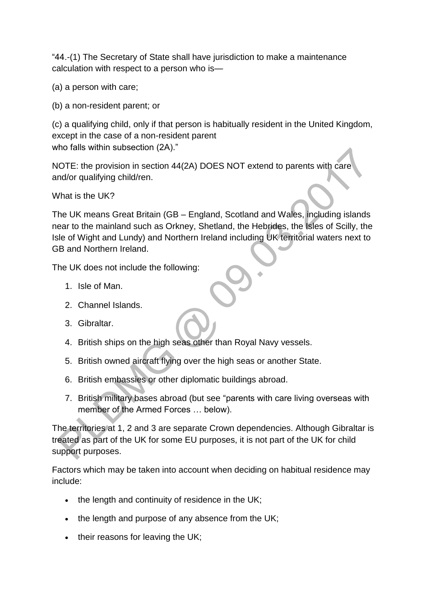"44.-(1) The Secretary of State shall have jurisdiction to make a maintenance calculation with respect to a person who is—

(a) a person with care;

(b) a non-resident parent; or

(c) a qualifying child, only if that person is habitually resident in the United Kingdom, except in the case of a non-resident parent who falls within subsection (2A)."

NOTE: the provision in section 44(2A) DOES NOT extend to parents with care and/or qualifying child/ren.

What is the UK?

The UK means Great Britain (GB – England, Scotland and Wales, including islands near to the mainland such as Orkney, Shetland, the Hebrides, the Isles of Scilly, the Isle of Wight and Lundy) and Northern Ireland including UK territorial waters next to GB and Northern Ireland.

The UK does not include the following:

- 1. Isle of Man.
- 2. Channel Islands.
- 3. Gibraltar.
- 4. British ships on the high seas other than Royal Navy vessels.
- 5. British owned aircraft flying over the high seas or another State.
- 6. British embassies or other diplomatic buildings abroad.
- 7. British military bases abroad (but see "parents with care living overseas with member of the Armed Forces … below).

The territories at 1, 2 and 3 are separate Crown dependencies. Although Gibraltar is treated as part of the UK for some EU purposes, it is not part of the UK for child support purposes.

Factors which may be taken into account when deciding on habitual residence may include:

- $\bullet$  the length and continuity of residence in the UK;
- $\bullet$  the length and purpose of any absence from the UK;
- their reasons for leaving the UK;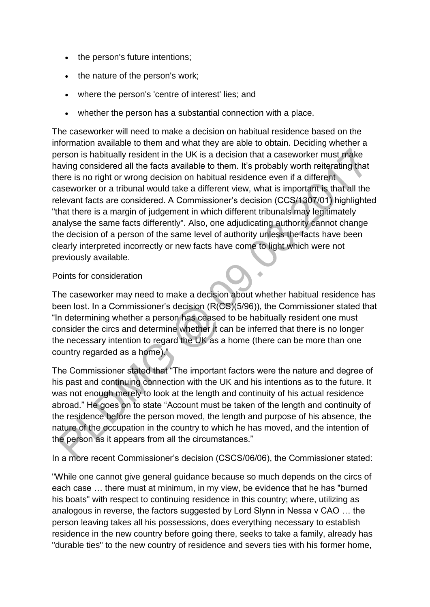- the person's future intentions;
- the nature of the person's work;
- where the person's 'centre of interest' lies; and
- whether the person has a substantial connection with a place.

The caseworker will need to make a decision on habitual residence based on the information available to them and what they are able to obtain. Deciding whether a person is habitually resident in the UK is a decision that a caseworker must make having considered all the facts available to them. It's probably worth reiterating that there is no right or wrong decision on habitual residence even if a different caseworker or a tribunal would take a different view, what is important is that all the relevant facts are considered. A Commissioner's decision (CCS/1307/01) highlighted "that there is a margin of judgement in which different tribunals may legitimately analyse the same facts differently". Also, one adjudicating authority cannot change the decision of a person of the same level of authority unless the facts have been clearly interpreted incorrectly or new facts have come to light which were not previously available.

### Points for consideration

The caseworker may need to make a decision about whether habitual residence has been lost. In a Commissioner's decision (R(CS)(5/96)), the Commissioner stated that "In determining whether a person has ceased to be habitually resident one must consider the circs and determine whether it can be inferred that there is no longer the necessary intention to regard the UK as a home (there can be more than one country regarded as a home)."

The Commissioner stated that "The important factors were the nature and degree of his past and continuing connection with the UK and his intentions as to the future. It was not enough merely to look at the length and continuity of his actual residence abroad." He goes on to state "Account must be taken of the length and continuity of the residence before the person moved, the length and purpose of his absence, the nature of the occupation in the country to which he has moved, and the intention of the person as it appears from all the circumstances."

In a more recent Commissioner's decision (CSCS/06/06), the Commissioner stated:

"While one cannot give general guidance because so much depends on the circs of each case … there must at minimum, in my view, be evidence that he has "burned his boats" with respect to continuing residence in this country; where, utilizing as analogous in reverse, the factors suggested by Lord Slynn in Nessa v CAO … the person leaving takes all his possessions, does everything necessary to establish residence in the new country before going there, seeks to take a family, already has "durable ties" to the new country of residence and severs ties with his former home,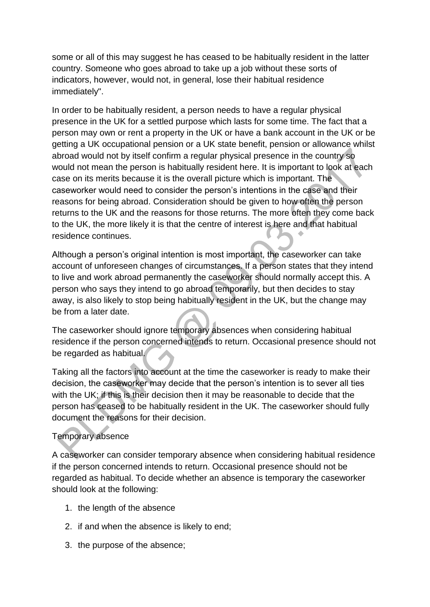some or all of this may suggest he has ceased to be habitually resident in the latter country. Someone who goes abroad to take up a job without these sorts of indicators, however, would not, in general, lose their habitual residence immediately".

In order to be habitually resident, a person needs to have a regular physical presence in the UK for a settled purpose which lasts for some time. The fact that a person may own or rent a property in the UK or have a bank account in the UK or be getting a UK occupational pension or a UK state benefit, pension or allowance whilst abroad would not by itself confirm a regular physical presence in the country so would not mean the person is habitually resident here. It is important to look at each case on its merits because it is the overall picture which is important. The caseworker would need to consider the person's intentions in the case and their reasons for being abroad. Consideration should be given to how often the person returns to the UK and the reasons for those returns. The more often they come back to the UK, the more likely it is that the centre of interest is here and that habitual residence continues.

Although a person's original intention is most important, the caseworker can take account of unforeseen changes of circumstances. If a person states that they intend to live and work abroad permanently the caseworker should normally accept this. A person who says they intend to go abroad temporarily, but then decides to stay away, is also likely to stop being habitually resident in the UK, but the change may be from a later date.

The caseworker should ignore temporary absences when considering habitual residence if the person concerned intends to return. Occasional presence should not be regarded as habitual.

Taking all the factors into account at the time the caseworker is ready to make their decision, the caseworker may decide that the person's intention is to sever all ties with the UK; if this is their decision then it may be reasonable to decide that the person has ceased to be habitually resident in the UK. The caseworker should fully document the reasons for their decision.

### Temporary absence

A caseworker can consider temporary absence when considering habitual residence if the person concerned intends to return. Occasional presence should not be regarded as habitual. To decide whether an absence is temporary the caseworker should look at the following:

- 1. the length of the absence
- 2. if and when the absence is likely to end;
- 3. the purpose of the absence;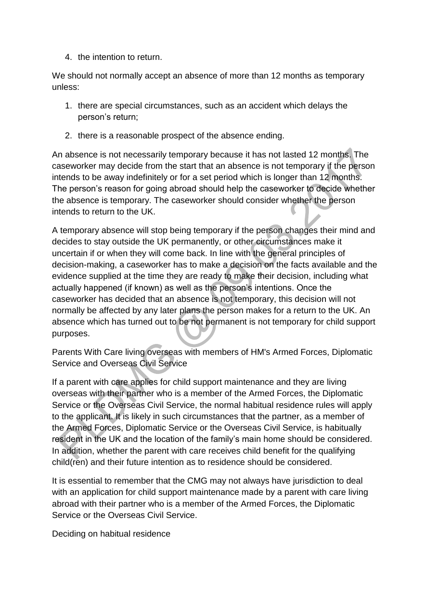4. the intention to return.

We should not normally accept an absence of more than 12 months as temporary unless:

- 1. there are special circumstances, such as an accident which delays the person's return;
- 2. there is a reasonable prospect of the absence ending.

An absence is not necessarily temporary because it has not lasted 12 months. The caseworker may decide from the start that an absence is not temporary if the person intends to be away indefinitely or for a set period which is longer than 12 months. The person's reason for going abroad should help the caseworker to decide whether the absence is temporary. The caseworker should consider whether the person intends to return to the UK.

A temporary absence will stop being temporary if the person changes their mind and decides to stay outside the UK permanently, or other circumstances make it uncertain if or when they will come back. In line with the general principles of decision-making, a caseworker has to make a decision on the facts available and the evidence supplied at the time they are ready to make their decision, including what actually happened (if known) as well as the person's intentions. Once the caseworker has decided that an absence is not temporary, this decision will not normally be affected by any later plans the person makes for a return to the UK. An absence which has turned out to be not permanent is not temporary for child support purposes.

Parents With Care living overseas with members of HM's Armed Forces, Diplomatic Service and Overseas Civil Service

If a parent with care applies for child support maintenance and they are living overseas with their partner who is a member of the Armed Forces, the Diplomatic Service or the Overseas Civil Service, the normal habitual residence rules will apply to the applicant. It is likely in such circumstances that the partner, as a member of the Armed Forces, Diplomatic Service or the Overseas Civil Service, is habitually resident in the UK and the location of the family's main home should be considered. In addition, whether the parent with care receives child benefit for the qualifying child(ren) and their future intention as to residence should be considered.

It is essential to remember that the CMG may not always have jurisdiction to deal with an application for child support maintenance made by a parent with care living abroad with their partner who is a member of the Armed Forces, the Diplomatic Service or the Overseas Civil Service.

Deciding on habitual residence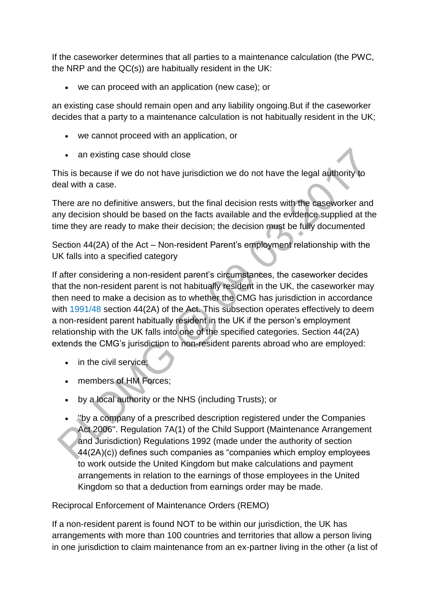If the caseworker determines that all parties to a maintenance calculation (the PWC, the NRP and the QC(s)) are habitually resident in the UK:

we can proceed with an application (new case); or

an existing case should remain open and any liability ongoing.But if the caseworker decides that a party to a maintenance calculation is not habitually resident in the UK;

- we cannot proceed with an application, or
- an existing case should close

This is because if we do not have jurisdiction we do not have the legal authority to deal with a case.

There are no definitive answers, but the final decision rests with the caseworker and any decision should be based on the facts available and the evidence supplied at the time they are ready to make their decision; the decision must be fully documented

Section 44(2A) of the Act – Non-resident Parent's employment relationship with the UK falls into a specified category

If after considering a non-resident parent's circumstances, the caseworker decides that the non-resident parent is not habitually resident in the UK, the caseworker may then need to make a decision as to whether the CMG has jurisdiction in accordance with [1991/48 s](http://www.legislation.gov.uk/ukpga/1991/48)ection 44(2A) of the Act. This subsection operates effectively to deem a non-resident parent habitually resident in the UK if the person's employment relationship with the UK falls into one of the specified categories. Section 44(2A) extends the CMG's jurisdiction to non-resident parents abroad who are employed:

- in the civil service;
- members of HM Forces;
- by a local authority or the NHS (including Trusts); or
- ''by a company of a prescribed description registered under the Companies Act 2006". Regulation 7A(1) of the Child Support (Maintenance Arrangement and Jurisdiction) Regulations 1992 (made under the authority of section 44(2A)(c)) defines such companies as "companies which employ employees to work outside the United Kingdom but make calculations and payment arrangements in relation to the earnings of those employees in the United Kingdom so that a deduction from earnings order may be made.

Reciprocal Enforcement of Maintenance Orders (REMO)

If a non-resident parent is found NOT to be within our jurisdiction, the UK has arrangements with more than 100 countries and territories that allow a person living in one jurisdiction to claim maintenance from an ex-partner living in the other (a list of